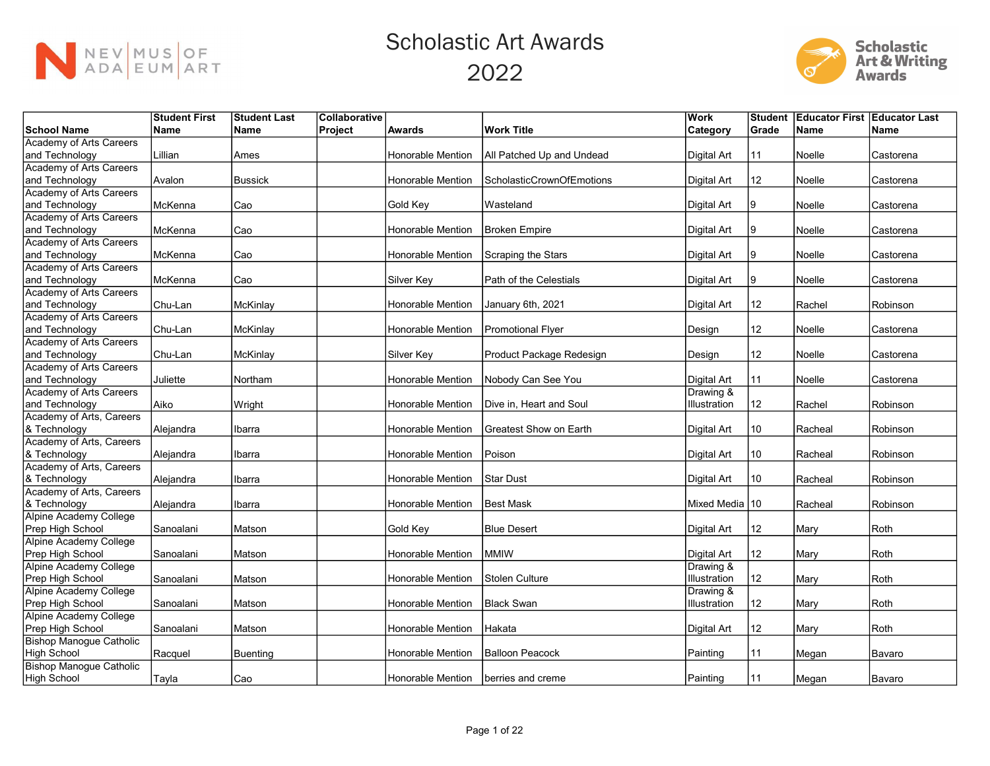



|                                | <b>Student First</b> | <b>Student Last</b> | Collaborative |                   |                               | Work               | <b>Student</b> | <b>Educator First Educator Last</b> |             |
|--------------------------------|----------------------|---------------------|---------------|-------------------|-------------------------------|--------------------|----------------|-------------------------------------|-------------|
| <b>School Name</b>             | <b>Name</b>          | Name                | Project       | <b>Awards</b>     | <b>Work Title</b>             | Category           | Grade          | <b>Name</b>                         | <b>Name</b> |
| <b>Academy of Arts Careers</b> |                      |                     |               |                   |                               |                    |                |                                     |             |
| and Technology                 | Lillian              | Ames                |               | Honorable Mention | All Patched Up and Undead     | Digital Art        | 11             | Noelle                              | Castorena   |
| Academy of Arts Careers        |                      |                     |               |                   |                               |                    |                |                                     |             |
| and Technology                 | Avalon               | <b>Bussick</b>      |               | Honorable Mention | ScholasticCrownOfEmotions     | <b>Digital Art</b> | 12             | Noelle                              | Castorena   |
| Academy of Arts Careers        |                      |                     |               |                   |                               |                    |                |                                     |             |
| and Technology                 | McKenna              | Cao                 |               | Gold Key          | Wasteland                     | Digital Art        | 9              | Noelle                              | Castorena   |
| <b>Academy of Arts Careers</b> |                      |                     |               |                   |                               |                    |                |                                     |             |
| and Technology                 | McKenna              | Cao                 |               | Honorable Mention | Broken Empire                 | Digital Art        | Ι9             | Noelle                              | Castorena   |
| <b>Academy of Arts Careers</b> |                      |                     |               |                   |                               |                    |                |                                     |             |
| and Technology                 | McKenna              | Cao                 |               | Honorable Mention | Scraping the Stars            | Digital Art        | 9              | Noelle                              | Castorena   |
| Academy of Arts Careers        |                      |                     |               |                   |                               |                    |                |                                     |             |
| and Technology                 | McKenna              | Cao                 |               | Silver Key        | <b>Path of the Celestials</b> | Digital Art        | 9              | Noelle                              | Castorena   |
| Academy of Arts Careers        |                      |                     |               |                   |                               |                    |                |                                     |             |
| and Technology                 | Chu-Lan              | McKinlay            |               | Honorable Mention | January 6th, 2021             | Digital Art        | 12             | Rachel                              | Robinson    |
| <b>Academy of Arts Careers</b> |                      |                     |               |                   |                               |                    |                |                                     |             |
| and Technology                 | Chu-Lan              | McKinlay            |               | Honorable Mention | Promotional Flyer             | Design             | 12             | Noelle                              | Castorena   |
| <b>Academy of Arts Careers</b> |                      |                     |               |                   |                               |                    |                |                                     |             |
| and Technology                 | Chu-Lan              | McKinlay            |               | Silver Key        | Product Package Redesign      | Design             | 12             | Noelle                              | Castorena   |
| Academy of Arts Careers        |                      |                     |               |                   |                               |                    |                |                                     |             |
| and Technology                 | Juliette             | Northam             |               | Honorable Mention | Nobody Can See You            | <b>Digital Art</b> | 11             | Noelle                              | Castorena   |
| Academy of Arts Careers        |                      |                     |               |                   |                               | Drawing &          |                |                                     |             |
| and Technology                 | Aiko                 | Wright              |               | Honorable Mention | Dive in. Heart and Soul       | Illustration       | 12             | Rachel                              | Robinson    |
| Academy of Arts, Careers       |                      |                     |               |                   |                               |                    |                |                                     |             |
| & Technology                   | Alejandra            | Ibarra              |               | Honorable Mention | Greatest Show on Earth        | Digital Art        | 10             | Racheal                             | Robinson    |
| Academy of Arts, Careers       |                      |                     |               |                   |                               |                    |                |                                     |             |
| & Technology                   | Alejandra            | Ibarra              |               | Honorable Mention | Poison                        | Digital Art        | 10             | Racheal                             | Robinson    |
| Academy of Arts, Careers       |                      |                     |               |                   |                               |                    |                |                                     |             |
| & Technology                   | Alejandra            | Ibarra              |               | Honorable Mention | lStar Dust                    | Digital Art        | 10             | Racheal                             | Robinson    |
| Academy of Arts, Careers       |                      |                     |               |                   |                               |                    |                |                                     |             |
| & Technology                   | Alejandra            | Ibarra              |               | Honorable Mention | Best Mask                     | Mixed Media 10     |                | Racheal                             | Robinson    |
| <b>Alpine Academy College</b>  |                      |                     |               |                   |                               |                    |                |                                     |             |
| Prep High School               | Sanoalani            | Matson              |               | Gold Key          | <b>Blue Desert</b>            | Digital Art        | 12             | Mary                                | Roth        |
| <b>Alpine Academy College</b>  |                      |                     |               |                   |                               |                    |                |                                     |             |
| Prep High School               | Sanoalani            | Matson              |               | Honorable Mention | MMIW                          | Digital Art        | 12             | Mary                                | Roth        |
| <b>Alpine Academy College</b>  |                      |                     |               |                   |                               | Drawing &          |                |                                     |             |
| Prep High School               | Sanoalani            | Matson              |               | Honorable Mention | <b>Stolen Culture</b>         | Illustration       | 12             | Mary                                | Roth        |
| Alpine Academy College         |                      |                     |               |                   |                               | Drawing &          |                |                                     |             |
| Prep High School               | Sanoalani            | Matson              |               | Honorable Mention | Black Swan                    | Illustration       | 12             | Mary                                | Roth        |
| Alpine Academy College         |                      |                     |               |                   |                               |                    |                |                                     |             |
| Prep High School               | Sanoalani            | Matson              |               | Honorable Mention | Hakata                        | Digital Art        | 12             | Mary                                | Roth        |
| <b>Bishop Manogue Catholic</b> |                      |                     |               |                   |                               |                    |                |                                     |             |
| High School                    | Racquel              | <b>Buenting</b>     |               | Honorable Mention | IBalloon Peacock              | Painting           | 11             | Megan                               | Bavaro      |
| <b>Bishop Manogue Catholic</b> |                      |                     |               |                   |                               |                    |                |                                     |             |
| High School                    | Tayla                | Cao                 |               | Honorable Mention | Iberries and creme            | Painting           | 11             | Megan                               | Bavaro      |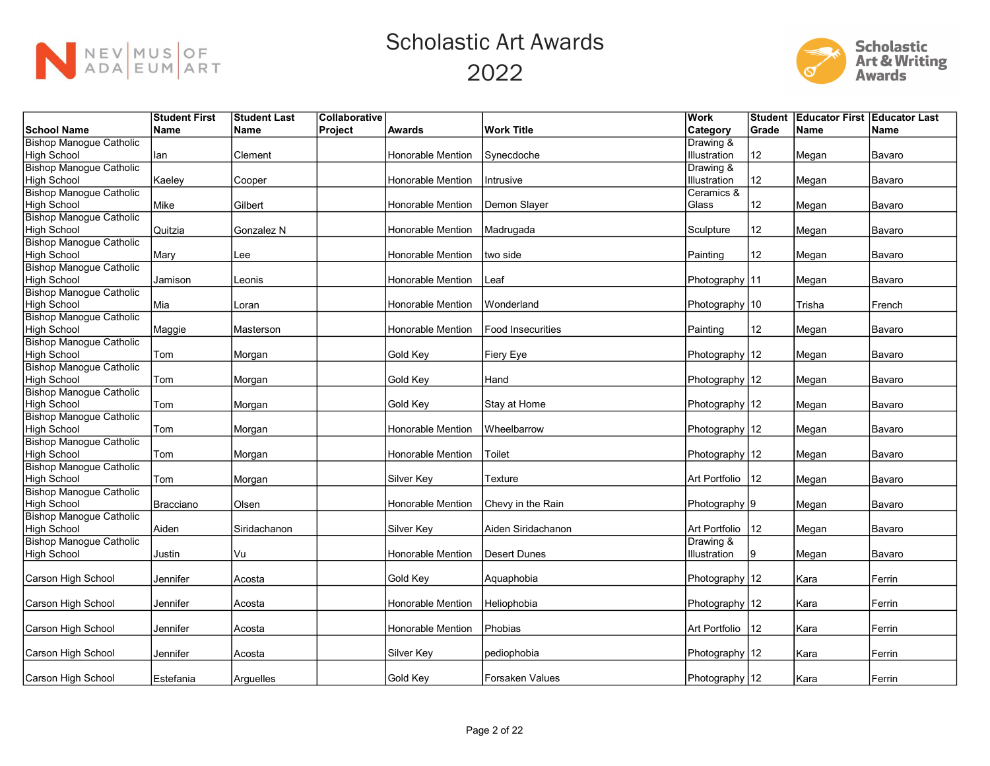



|                                | <b>Student First</b> | <b>Student Last</b> | Collaborative |                          |                     | Work               | <b>Student</b> | <b>Educator First Educator Last</b> |             |
|--------------------------------|----------------------|---------------------|---------------|--------------------------|---------------------|--------------------|----------------|-------------------------------------|-------------|
| <b>School Name</b>             | <b>Name</b>          | <b>Name</b>         | Project       | <b>Awards</b>            | <b>Work Title</b>   | <b>Category</b>    | Grade          | <b>Name</b>                         | <b>Name</b> |
| <b>Bishop Manogue Catholic</b> |                      |                     |               |                          |                     | Drawing &          |                |                                     |             |
| High School                    | lan                  | Clement             |               | Honorable Mention        | Synecdoche          | Illustration       | 12             | Megan                               | Bavaro      |
| <b>Bishop Manogue Catholic</b> |                      |                     |               |                          |                     | Drawing &          |                |                                     |             |
| High School                    | Kaeley               | Cooper              |               | Honorable Mention        | Intrusive           | Illustration       | 12             | Megan                               | Bavaro      |
| <b>Bishop Manogue Catholic</b> |                      |                     |               |                          |                     | Ceramics &         |                |                                     |             |
| High School                    | Mike                 | Gilbert             |               | Honorable Mention        | Demon Slayer        | Glass              | 12             | Megan                               | Bavaro      |
| <b>Bishop Manogue Catholic</b> |                      |                     |               |                          |                     |                    |                |                                     |             |
| High School                    | Quitzia              | Gonzalez N          |               | <b>Honorable Mention</b> | Madrugada           | Sculpture          | 12             | Megan                               | Bavaro      |
| <b>Bishop Manogue Catholic</b> |                      |                     |               |                          |                     |                    |                |                                     |             |
| High School                    | Mary                 | Lee                 |               | Honorable Mention        | two side            | Painting           | 12             | Megan                               | Bavaro      |
| <b>Bishop Manogue Catholic</b> |                      |                     |               |                          |                     |                    |                |                                     |             |
| High School                    | Jamison              | Leonis              |               | Honorable Mention        | Leaf                | Photography   11   |                | Megan                               | Bavaro      |
| <b>Bishop Manogue Catholic</b> |                      |                     |               |                          |                     |                    |                |                                     |             |
| High School                    | Mia                  | Loran               |               | Honorable Mention        | Wonderland          | Photography   10   |                | Trisha                              | French      |
| <b>Bishop Manogue Catholic</b> |                      |                     |               |                          |                     |                    |                |                                     |             |
| High School                    | Maggie               | Masterson           |               | Honorable Mention        | Food Insecurities   | Painting           | 12             | Megan                               | Bavaro      |
| <b>Bishop Manogue Catholic</b> |                      |                     |               |                          |                     |                    |                |                                     |             |
| High School                    | Tom                  | Morgan              |               | Gold Key                 | Fiery Eye           | Photography 12     |                | Megan                               | Bavaro      |
| <b>Bishop Manogue Catholic</b> |                      |                     |               |                          |                     |                    |                |                                     |             |
| High School                    | Tom                  | Morgan              |               | Gold Key                 | Hand                | Photography 12     |                | Megan                               | Bavaro      |
| <b>Bishop Manogue Catholic</b> |                      |                     |               |                          |                     |                    |                |                                     |             |
| High School                    | Tom                  | Morgan              |               | <b>Gold Key</b>          | Stay at Home        | Photography 12     |                | Megan                               | Bavaro      |
| <b>Bishop Manogue Catholic</b> |                      |                     |               |                          |                     |                    |                |                                     |             |
| High School                    | Tom                  | Morgan              |               | Honorable Mention        | Wheelbarrow         | Photography 12     |                | Megan                               | Bavaro      |
| <b>Bishop Manogue Catholic</b> |                      |                     |               |                          |                     |                    |                |                                     |             |
| High School                    | Tom                  | Morgan              |               | Honorable Mention        | Toilet              | Photography 12     |                | Megan                               | Bavaro      |
| <b>Bishop Manogue Catholic</b> |                      |                     |               |                          |                     |                    |                |                                     |             |
| High School                    | Tom                  | Morgan              |               | Silver Key               | Texture             | Art Portfolio      | 12             | Megan                               | Bavaro      |
| <b>Bishop Manogue Catholic</b> |                      |                     |               |                          |                     |                    |                |                                     |             |
| High School                    | Bracciano            | Olsen               |               | Honorable Mention        | Chevy in the Rain   | Photography 9      |                | Megan                               | Bavaro      |
| <b>Bishop Manogue Catholic</b> |                      |                     |               |                          |                     |                    |                |                                     |             |
| High School                    | Aiden                | Siridachanon        |               | Silver Key               | Aiden Siridachanon  | Art Portfolio      | 12             | Megan                               | Bavaro      |
| <b>Bishop Manogue Catholic</b> |                      |                     |               |                          |                     | Drawing &          |                |                                     |             |
| High School                    | Justin               | Vu                  |               | Honorable Mention        | <b>Desert Dunes</b> | Illustration       | 9              | Megan                               | Bavaro      |
|                                |                      |                     |               |                          |                     |                    |                |                                     |             |
| Carson High School             | Jennifer             | Acosta              |               | <b>Gold Kev</b>          | Aquaphobia          | Photography   12   |                | Kara                                | Ferrin      |
|                                |                      |                     |               |                          |                     |                    |                |                                     |             |
| Carson High School             | Jennifer             | Acosta              |               | Honorable Mention        | Heliophobia         | Photography 12     |                | Kara                                | Ferrin      |
|                                |                      |                     |               |                          |                     |                    |                |                                     |             |
| Carson High School             | Jennifer             | Acosta              |               | Honorable Mention        | Phobias             | Art Portfolio   12 |                | Kara                                | Ferrin      |
|                                |                      |                     |               |                          |                     |                    |                |                                     |             |
| Carson High School             | Jennifer             | Acosta              |               | Silver Key               | pediophobia         | Photography 12     |                | Kara                                | Ferrin      |
|                                |                      |                     |               |                          |                     |                    |                |                                     |             |
| Carson High School             | Estefania            | Arquelles           |               | Gold Key                 | Forsaken Values     | Photography 12     |                | Kara                                | Ferrin      |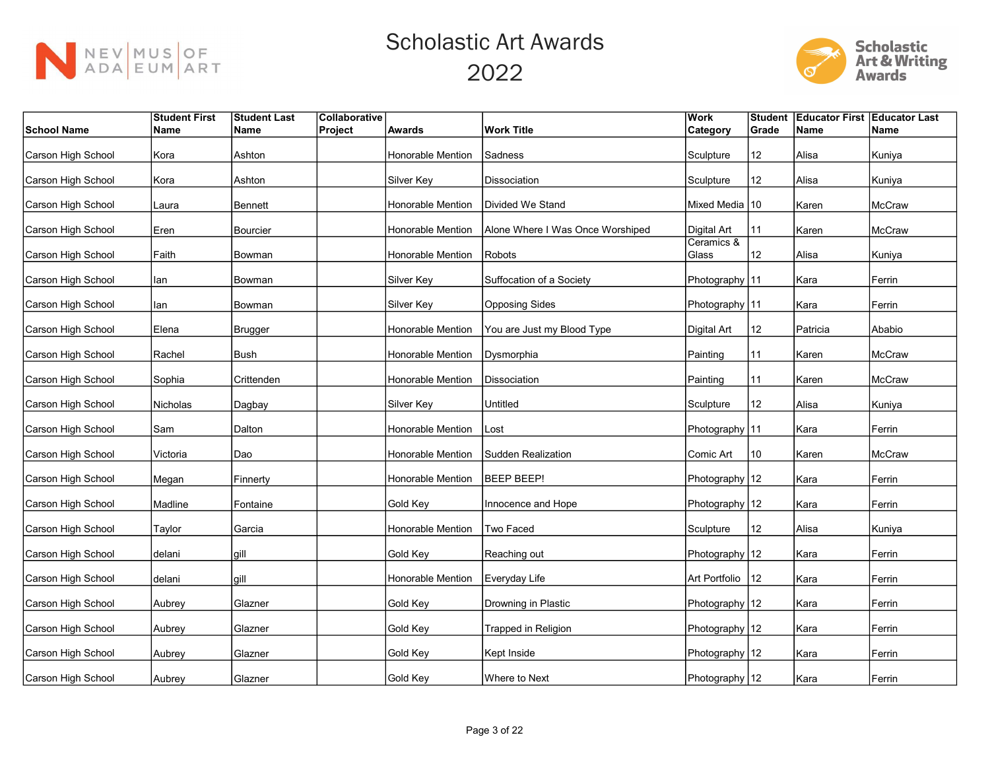



|                    | <b>Student First</b> | <b>Student Last</b> | Collaborative |                          |                                  | Work                | <b>Student</b> | <b>Educator First Educator Last</b> |               |
|--------------------|----------------------|---------------------|---------------|--------------------------|----------------------------------|---------------------|----------------|-------------------------------------|---------------|
| School Name        | Name                 | Name                | Project       | <b>Awards</b>            | <b>Work Title</b>                | <b>Category</b>     | Grade          | <b>Name</b>                         | Name          |
| Carson High School | Kora                 | Ashton              |               | Honorable Mention        | Sadness                          | Sculpture           | 12             | Alisa                               | Kuniya        |
| Carson High School | Kora                 | Ashton              |               | Silver Key               | Dissociation                     | Sculpture           | 12             | Alisa                               | Kuniya        |
| Carson High School | Laura                | Bennett             |               | Honorable Mention        | Divided We Stand                 | Mixed Media 10      |                | Karen                               | McCraw        |
| Carson High School | Eren                 | Bourcier            |               | Honorable Mention        | Alone Where I Was Once Worshiped | Digital Art         | 11             | Karen                               | McCraw        |
| Carson High School | Faith                | Bowman              |               | Honorable Mention        | Robots                           | Ceramics &<br>Glass | 12             | Alisa                               | Kuniya        |
| Carson High School | lan                  | Bowman              |               | Silver Key               | Suffocation of a Society         | Photography 11      |                | Kara                                | Ferrin        |
| Carson High School | lan                  | Bowman              |               | Silver Key               | <b>Opposing Sides</b>            | Photography 11      |                | Kara                                | Ferrin        |
| Carson High School | Elena                | <b>Brugger</b>      |               | Honorable Mention        | You are Just my Blood Type       | Digital Art         | 12             | Patricia                            | Ababio        |
| Carson High School | Rachel               | Bush                |               | Honorable Mention        | Dysmorphia                       | Painting            | 11             | Karen                               | McCraw        |
| Carson High School | Sophia               | Crittenden          |               | Honorable Mention        | lDissociation                    | Painting            | 11             | Karen                               | <b>McCraw</b> |
| Carson High School | Nicholas             | Dagbay              |               | Silver Key               | Untitled                         | Sculpture           | 12             | Alisa                               | Kuniya        |
| Carson High School | Sam                  | Dalton              |               | Honorable Mention        | Lost                             | Photography 11      |                | Kara                                | Ferrin        |
| Carson High School | Victoria             | Dao                 |               | Honorable Mention        | Sudden Realization               | Comic Art           | 10             | Karen                               | McCraw        |
| Carson High School | Megan                | Finnerty            |               | <b>Honorable Mention</b> | BEEP BEEP!                       | Photography 12      |                | Kara                                | Ferrin        |
| Carson High School | Madline              | Fontaine            |               | Gold Key                 | Innocence and Hope               | Photography 12      |                | Kara                                | Ferrin        |
| Carson High School | Taylor               | Garcia              |               | Honorable Mention        | Two Faced                        | Sculpture           | 12             | Alisa                               | Kuniya        |
| Carson High School | delani               | gill                |               | Gold Key                 | Reaching out                     | Photography 12      |                | Kara                                | Ferrin        |
| Carson High School | delani               | gill                |               | Honorable Mention        | Everyday Life                    | Art Portfolio       | 12             | Kara                                | Ferrin        |
| Carson High School | Aubrey               | Glazner             |               | Gold Key                 | Drowning in Plastic              | Photography 12      |                | Kara                                | Ferrin        |
| Carson High School | Aubrey               | Glazner             |               | Gold Key                 | Trapped in Religion              | Photography 12      |                | Kara                                | Ferrin        |
| Carson High School | Aubrey               | Glazner             |               | Gold Key                 | Kept Inside                      | Photography   12    |                | Kara                                | Ferrin        |
| Carson High School | Aubrey               | Glazner             |               | Gold Key                 | Where to Next                    | Photography 12      |                | Kara                                | Ferrin        |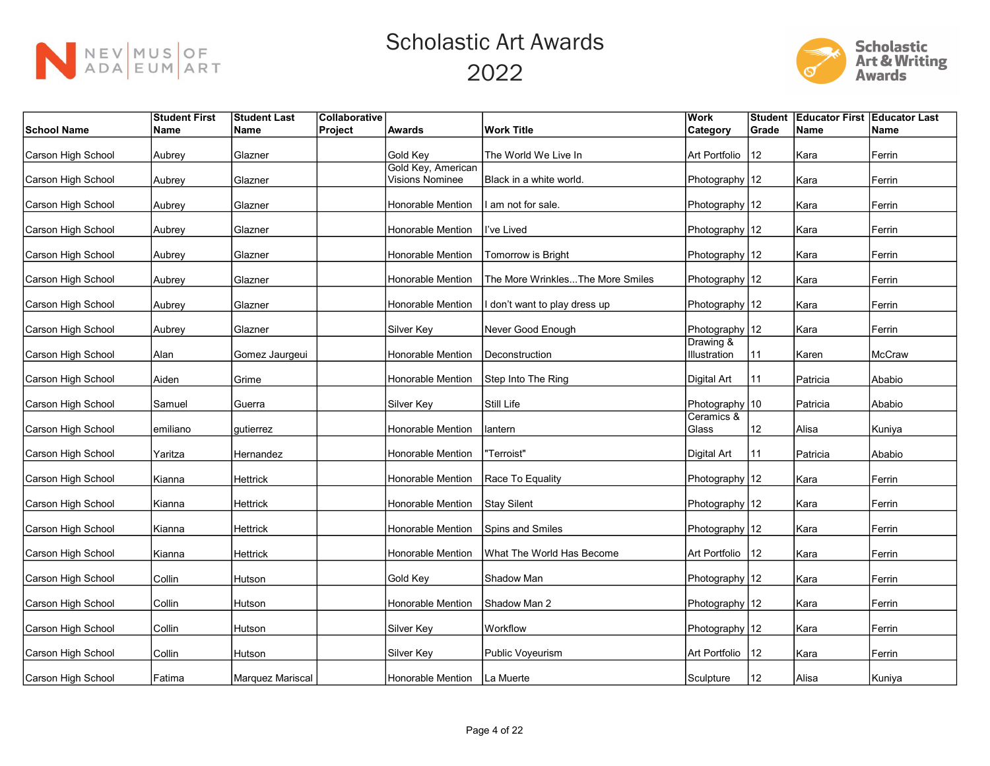



|                    | <b>Student First</b> | <b>Student Last</b> | Collaborative |                                |                                  | lWork               |       | Student Educator First Educator Last |        |
|--------------------|----------------------|---------------------|---------------|--------------------------------|----------------------------------|---------------------|-------|--------------------------------------|--------|
| <b>School Name</b> | Name                 | Name                | Project       | <b>Awards</b>                  | <b>Work Title</b>                | Category            | Grade | Name                                 | Name   |
|                    |                      |                     |               |                                |                                  |                     |       |                                      |        |
| Carson High School | Aubrey               | Glazner             |               | Gold Key<br>Gold Key, American | The World We Live In             | Art Portfolio       | 12    | Kara                                 | Ferrin |
| Carson High School | Aubrey               | Glazner             |               | <b>Visions Nominee</b>         | Black in a white world.          | Photography 12      |       | Kara                                 | Ferrin |
| Carson High School | Aubrey               | Glazner             |               | <b>Honorable Mention</b>       | am not for sale.                 | Photography   12    |       | Kara                                 | Ferrin |
| Carson High School | Aubrey               | Glazner             |               | Honorable Mention              | l've Lived                       | Photography 12      |       | Kara                                 | Ferrin |
| Carson High School | Aubrey               | Glazner             |               | Honorable Mention              | Tomorrow is Bright               | Photography 12      |       | Kara                                 | Ferrin |
| Carson High School | Aubrey               | Glazner             |               | Honorable Mention              | The More WrinklesThe More Smiles | Photography 12      |       | Kara                                 | Ferrin |
| Carson High School | Aubrey               | Glazner             |               | Honorable Mention              | don't want to play dress up      | Photography 12      |       | Kara                                 | Ferrin |
| Carson High School | Aubrey               | Glazner             |               | Silver Key                     | Never Good Enough                | Photography 12      |       | Kara                                 | Ferrin |
|                    |                      |                     |               |                                |                                  | Drawing &           |       |                                      |        |
| Carson High School | Alan                 | Gomez Jaurgeui      |               | <b>Honorable Mention</b>       | Deconstruction                   | Illustration        | 11    | Karen                                | McCraw |
| Carson High School | Aiden                | Grime               |               | Honorable Mention              | Step Into The Ring               | Digital Art         | 11    | Patricia                             | Ababio |
| Carson High School | Samuel               | Guerra              |               | Silver Key                     | Still Life                       | Photography 10      |       | Patricia                             | Ababio |
| Carson High School | emiliano             | gutierrez           |               | Honorable Mention              | Iantern                          | Ceramics &<br>Glass | 12    | Alisa                                | Kuniya |
| Carson High School | Yaritza              | Hernandez           |               | Honorable Mention              | "Terroist"                       | Digital Art         | 11    | Patricia                             | Ababio |
| Carson High School | Kianna               | Hettrick            |               | Honorable Mention              | Race To Equality                 | Photography 12      |       | Kara                                 | Ferrin |
| Carson High School | Kianna               | Hettrick            |               | Honorable Mention              | Stay Silent                      | Photography 12      |       | Kara                                 | Ferrin |
| Carson High School | Kianna               | Hettrick            |               | <b>Honorable Mention</b>       | Spins and Smiles                 | Photography 12      |       | Kara                                 | Ferrin |
| Carson High School | Kianna               | Hettrick            |               | <b>Honorable Mention</b>       | What The World Has Become        | Art Portfolio       | 12    | Kara                                 | Ferrin |
| Carson High School | Collin               | Hutson              |               | Gold Key                       | Shadow Man                       | Photography 12      |       | Kara                                 | Ferrin |
| Carson High School | Collin               | Hutson              |               | <b>Honorable Mention</b>       | Shadow Man 2                     | Photography 12      |       | Kara                                 | Ferrin |
| Carson High School | Collin               | Hutson              |               | Silver Key                     | Workflow                         | Photography 12      |       | Kara                                 | Ferrin |
| Carson High School | Collin               | Hutson              |               | Silver Key                     | Public Voyeurism                 | Art Portfolio       | 12    | Kara                                 | Ferrin |
| Carson High School | Fatima               | Marquez Mariscal    |               | Honorable Mention              | La Muerte                        | Sculpture           | 12    | Alisa                                | Kuniya |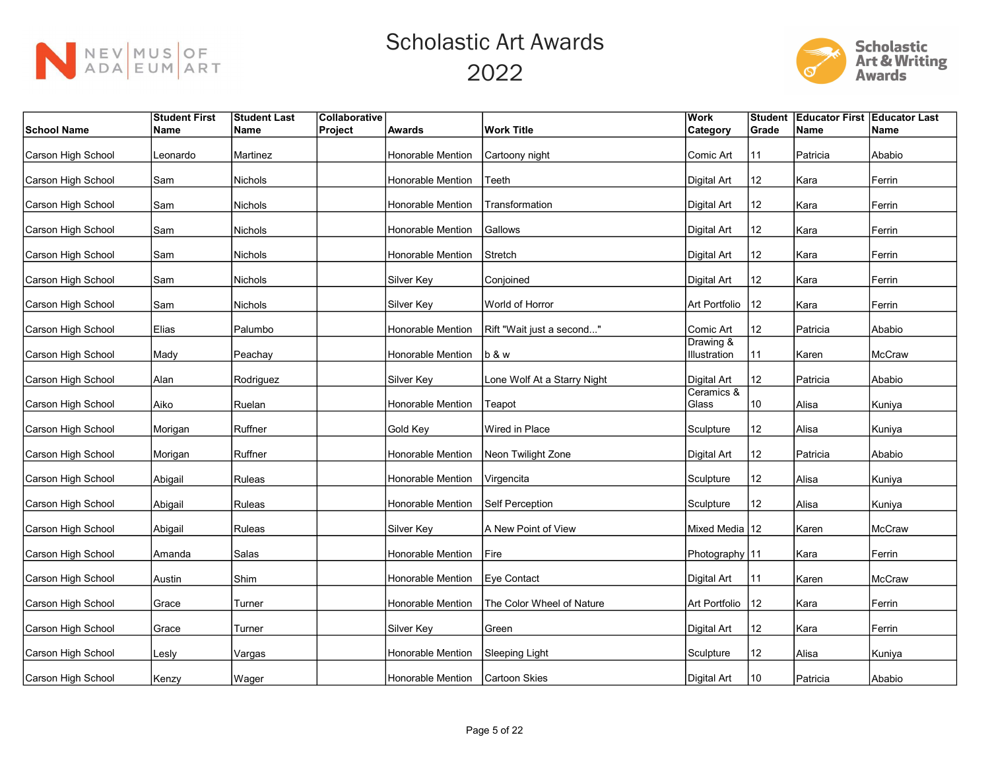



|                    | <b>Student First</b> | <b>Student Last</b> | Collaborative |                          |                             | <b>Work</b>               | <b>Student</b>    | <b>Educator First Educator Last</b> |               |
|--------------------|----------------------|---------------------|---------------|--------------------------|-----------------------------|---------------------------|-------------------|-------------------------------------|---------------|
| <b>School Name</b> | Name                 | Name                | Project       | Awards                   | <b>Work Title</b>           | <b>Category</b>           | Grade             | Name                                | Name          |
| Carson High School | Leonardo             | Martinez            |               | Honorable Mention        | Cartoony night              | Comic Art                 | 11                | Patricia                            | Ababio        |
| Carson High School | Sam                  | Nichols             |               | Honorable Mention        | Teeth                       | <b>Digital Art</b>        | 12                | Kara                                | Ferrin        |
| Carson High School | Sam                  | Nichols             |               | <b>Honorable Mention</b> | Transformation              | <b>Digital Art</b>        | 12                | Kara                                | Ferrin        |
| Carson High School | Sam                  | Nichols             |               | Honorable Mention        | Gallows                     | <b>Digital Art</b>        | 12                | Kara                                | Ferrin        |
| Carson High School | Sam                  | Nichols             |               | Honorable Mention        | Stretch                     | Digital Art               | 12                | Kara                                | Ferrin        |
| Carson High School | Sam                  | Nichols             |               | Silver Key               | Conjoined                   | Digital Art               | 12                | Kara                                | Ferrin        |
| Carson High School | Sam                  | Nichols             |               | Silver Key               | World of Horror             | Art Portfolio             | 12                | Kara                                | Ferrin        |
| Carson High School | Elias                | Palumbo             |               | Honorable Mention        | Rift "Wait just a second"   | Comic Art                 | 12                | Patricia                            | Ababio        |
| Carson High School | Mady                 | Peachay             |               | Honorable Mention        | lb & w                      | Drawing &<br>Illustration | 11                | Karen                               | McCraw        |
| Carson High School | Alan                 | Rodriguez           |               | Silver Key               | Lone Wolf At a Starry Night | <b>Digital Art</b>        | 12                | Patricia                            | Ababio        |
| Carson High School | Aiko                 | Ruelan              |               | Honorable Mention        | Teapot                      | Ceramics &<br>Glass       | 10                | Alisa                               | Kuniya        |
| Carson High School | Morigan              | Ruffner             |               | Gold Key                 | Wired in Place              | Sculpture                 | 12                | Alisa                               | Kuniya        |
| Carson High School | Morigan              | Ruffner             |               | <b>Honorable Mention</b> | Neon Twilight Zone          | Digital Art               | $12 \,$           | Patricia                            | Ababio        |
| Carson High School | Abigail              | Ruleas              |               | Honorable Mention        | Virgencita                  | Sculpture                 | 12                | Alisa                               | Kuniya        |
| Carson High School | Abigail              | Ruleas              |               | Honorable Mention        | Self Perception             | Sculpture                 | 12                | Alisa                               | Kuniya        |
| Carson High School | Abigail              | Ruleas              |               | Silver Key               | A New Point of View         | Mixed Media 12            |                   | Karen                               | McCraw        |
| Carson High School | Amanda               | Salas               |               | Honorable Mention        | Fire                        | Photography 11            |                   | Kara                                | Ferrin        |
| Carson High School | Austin               | Shim                |               | Honorable Mention        | Eve Contact                 | Digital Art               | 11                | Karen                               | <b>McCraw</b> |
| Carson High School | Grace                | Turner              |               | Honorable Mention        | The Color Wheel of Nature   | Art Portfolio             | 12                | Kara                                | Ferrin        |
| Carson High School | Grace                | Turner              |               | Silver Key               | Green                       | <b>Digital Art</b>        | $12 \overline{ }$ | Kara                                | Ferrin        |
| Carson High School | Lesly                | Vargas              |               | Honorable Mention        | Sleeping Light              | Sculpture                 | $12 \overline{ }$ | Alisa                               | Kuniya        |
| Carson High School | Kenzy                | Wager               |               | Honorable Mention        | <b>Cartoon Skies</b>        | Digital Art               | 10                | Patricia                            | Ababio        |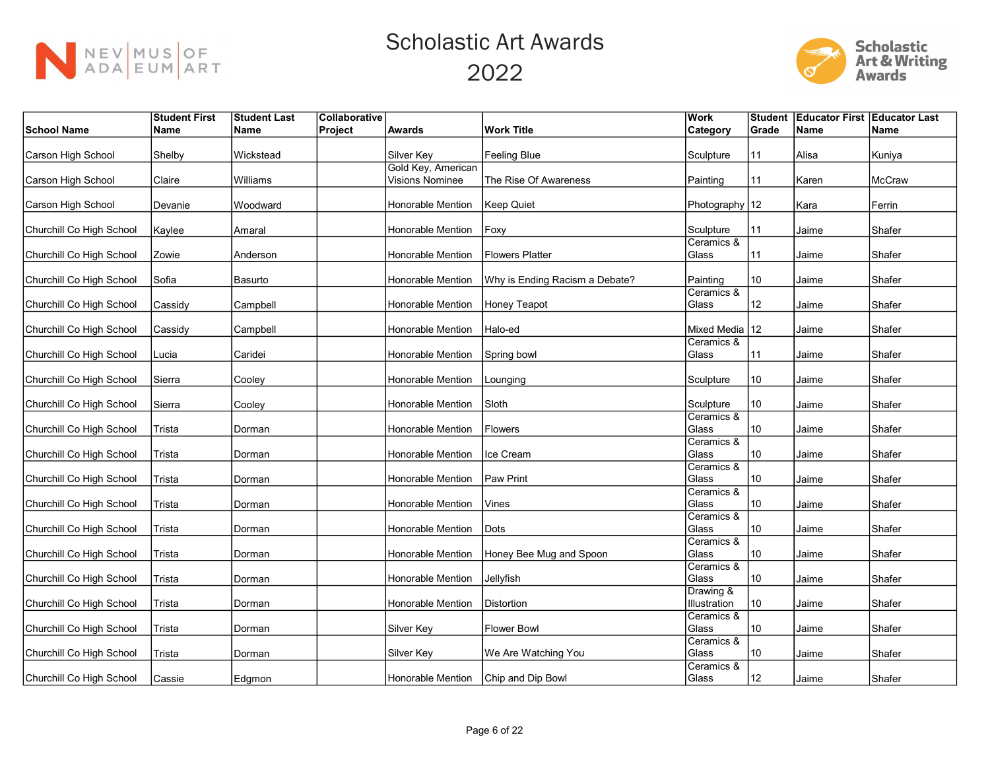



|                          | <b>Student First</b> | <b>Student Last</b> | Collaborative |                        |                                | <b>Work</b>         | <b>Student</b> | <b>Educator First Educator Last</b> |               |
|--------------------------|----------------------|---------------------|---------------|------------------------|--------------------------------|---------------------|----------------|-------------------------------------|---------------|
| <b>School Name</b>       | Name                 | ∣Name               | Project       | <b>Awards</b>          | <b>Work Title</b>              | Category            | Grade          | <b>Name</b>                         | <b>Name</b>   |
|                          |                      |                     |               |                        |                                |                     |                |                                     |               |
| Carson High School       | Shelby               | Wickstead           |               | Silver Key             | <b>Feeling Blue</b>            | Sculpture           | 11             | Alisa                               | Kuniya        |
|                          |                      |                     |               | Gold Key, American     |                                |                     |                |                                     |               |
| Carson High School       | Claire               | Williams            |               | <b>Visions Nominee</b> | The Rise Of Awareness          | Painting            | 11             | Karen                               | <b>McCraw</b> |
|                          |                      |                     |               |                        |                                |                     |                |                                     |               |
| Carson High School       | Devanie              | Woodward            |               | Honorable Mention      | <b>Keep Quiet</b>              | Photography   12    |                | Kara                                | Ferrin        |
|                          |                      |                     |               | Honorable Mention      |                                | Sculpture           |                |                                     |               |
| Churchill Co High School | Kaylee               | Amaral              |               |                        | Foxy                           | Ceramics &          | 11             | Jaime                               | Shafer        |
| Churchill Co High School | Zowie                | Anderson            |               | Honorable Mention      | <b>Flowers Platter</b>         | Glass               | 11             | Jaime                               | Shafer        |
|                          |                      |                     |               |                        |                                |                     |                |                                     |               |
| Churchill Co High School | Sofia                | Basurto             |               | Honorable Mention      | Why is Ending Racism a Debate? | Painting            | 10             | Jaime                               | Shafer        |
|                          |                      |                     |               |                        |                                | Ceramics &          |                |                                     |               |
| Churchill Co High School | Cassidy              | Campbell            |               | Honorable Mention      | <b>Honey Teapot</b>            | Glass               | 12             | Jaime                               | Shafer        |
|                          |                      |                     |               |                        |                                |                     |                |                                     |               |
| Churchill Co High School | Cassidy              | Campbell            |               | Honorable Mention      | Halo-ed                        | Mixed Media 12      |                | Jaime                               | Shafer        |
|                          |                      |                     |               |                        |                                | Ceramics &          |                |                                     |               |
| Churchill Co High School | Lucia                | Caridei             |               | Honorable Mention      | Spring bowl                    | Glass               | 11             | Jaime                               | Shafer        |
|                          |                      |                     |               |                        |                                |                     |                |                                     |               |
| Churchill Co High School | Sierra               | Cooley              |               | Honorable Mention      | Lounging                       | Sculpture           | 10             | Jaime                               | Shafer        |
|                          |                      |                     |               |                        |                                |                     |                |                                     |               |
| Churchill Co High School | Sierra               | Cooley              |               | Honorable Mention      | Sloth                          | Sculpture           | 10             | Jaime                               | Shafer        |
|                          |                      |                     |               |                        |                                | Ceramics &          |                |                                     |               |
| Churchill Co High School | Trista               | Dorman              |               | Honorable Mention      | <b>Flowers</b>                 | Glass               | 10             | Jaime                               | Shafer        |
|                          |                      |                     |               |                        |                                | Ceramics &          |                |                                     |               |
| Churchill Co High School | Trista               | Dorman              |               | Honorable Mention      | Ice Cream                      | Glass               | 10             | Jaime                               | Shafer        |
|                          |                      |                     |               |                        |                                | Ceramics &<br>Glass |                |                                     |               |
| Churchill Co High School | Trista               | Dorman              |               | Honorable Mention      | Paw Print                      | Ceramics &          | 10             | Jaime                               | Shafer        |
| Churchill Co High School | Trista               |                     |               | Honorable Mention      | Vines                          | Glass               | 10             | Jaime                               | Shafer        |
|                          |                      | Dorman              |               |                        |                                | Ceramics &          |                |                                     |               |
| Churchill Co High School | Trista               | Dorman              |               | Honorable Mention      | Dots                           | Glass               | 10             | Jaime                               | Shafer        |
|                          |                      |                     |               |                        |                                | Ceramics &          |                |                                     |               |
| Churchill Co High School | Trista               | Dorman              |               | Honorable Mention      | Honey Bee Mug and Spoon        | Glass               | 10             | Jaime                               | Shafer        |
|                          |                      |                     |               |                        |                                | Ceramics &          |                |                                     |               |
| Churchill Co High School | Trista               | Dorman              |               | Honorable Mention      | Jellyfish                      | Glass               | 10             | Jaime                               | Shafer        |
|                          |                      |                     |               |                        |                                | Drawing &           |                |                                     |               |
| Churchill Co High School | Trista               | Dorman              |               | Honorable Mention      | Distortion                     | Illustration        | 10             | Jaime                               | Shafer        |
|                          |                      |                     |               |                        |                                | Ceramics &          |                |                                     |               |
| Churchill Co High School | Trista               | Dorman              |               | Silver Key             | <b>Flower Bowl</b>             | Glass               | 10             | Jaime                               | Shafer        |
|                          |                      |                     |               |                        |                                | Ceramics &          |                |                                     |               |
| Churchill Co High School | Trista               | Dorman              |               | Silver Key             | We Are Watching You            | Glass               | 10             | Jaime                               | Shafer        |
|                          |                      |                     |               |                        |                                | Ceramics &          |                |                                     |               |
| Churchill Co High School | Cassie               | Edgmon              |               | Honorable Mention      | Chip and Dip Bowl              | Glass               | 12             | Jaime                               | Shafer        |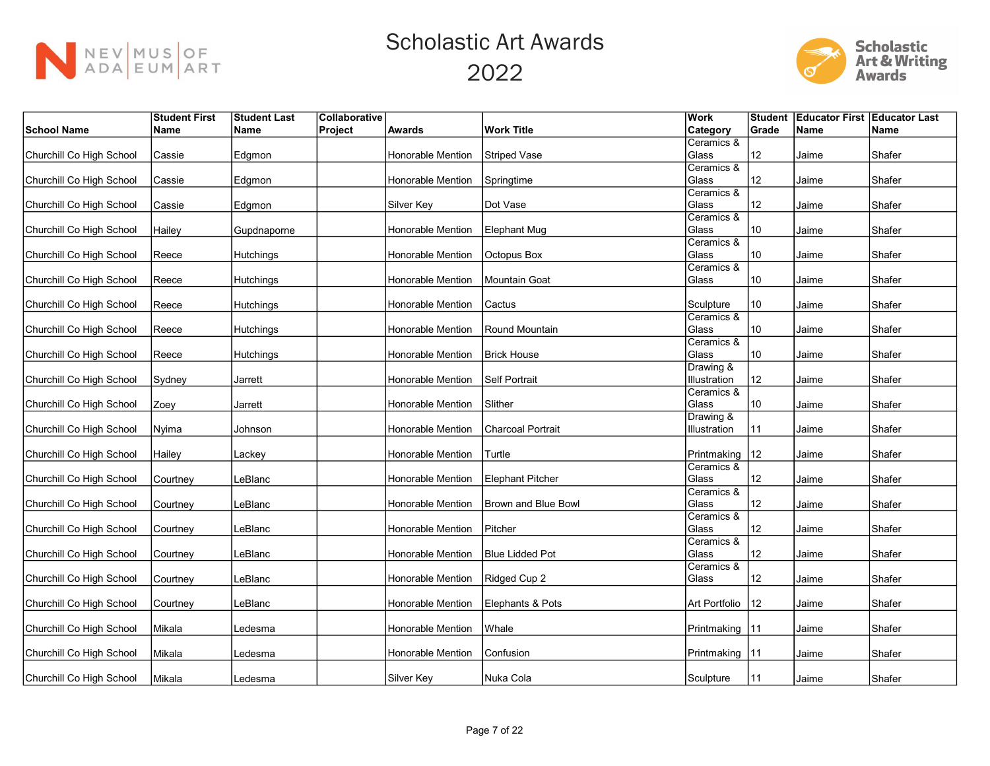



|                          | <b>Student First</b> | <b>Student Last</b> | Collaborative |                   |                          | Work             | <b>Student</b>  | <b>Educator First Educator Last</b> |             |
|--------------------------|----------------------|---------------------|---------------|-------------------|--------------------------|------------------|-----------------|-------------------------------------|-------------|
| <b>School Name</b>       | <b>Name</b>          | ∣Name               | Project       | <b>Awards</b>     | <b>Work Title</b>        | Category         | Grade           | <b>Name</b>                         | <b>Name</b> |
|                          |                      |                     |               |                   |                          | Ceramics &       |                 |                                     |             |
| Churchill Co High School | Cassie               | Edgmon              |               | Honorable Mention | <b>Striped Vase</b>      | Glass            | 12              | Jaime                               | Shafer      |
|                          |                      |                     |               |                   |                          | Ceramics &       |                 |                                     |             |
| Churchill Co High School | Cassie               | Edgmon              |               | Honorable Mention | Springtime               | Glass            | 12              | Jaime                               | Shafer      |
|                          |                      |                     |               |                   |                          | Ceramics &       |                 |                                     |             |
| Churchill Co High School | Cassie               | Edgmon              |               | Silver Key        | Dot Vase                 | Glass            | 12              | Jaime                               | Shafer      |
|                          |                      |                     |               |                   |                          | Ceramics &       |                 |                                     |             |
| Churchill Co High School | Hailey               | Gupdnaporne         |               | Honorable Mention | Elephant Mug             | Glass            | 10              | Jaime                               | Shafer      |
|                          |                      |                     |               |                   |                          | Ceramics &       |                 |                                     |             |
| Churchill Co High School | Reece                | Hutchings           |               | Honorable Mention | Octopus Box              | Glass            | 10              | Jaime                               | Shafer      |
|                          |                      |                     |               |                   |                          | Ceramics &       |                 |                                     |             |
| Churchill Co High School | Reece                | Hutchings           |               | Honorable Mention | Mountain Goat            | Glass            | 10              | Jaime                               | Shafer      |
|                          |                      |                     |               |                   |                          |                  |                 |                                     |             |
| Churchill Co High School | Reece                | Hutchings           |               | Honorable Mention | Cactus                   | Sculpture        | 10              | Jaime                               | Shafer      |
|                          |                      |                     |               |                   |                          | Ceramics &       |                 |                                     |             |
| Churchill Co High School | Reece                | Hutchings           |               | Honorable Mention | Round Mountain           | Glass            | 10              | Jaime                               | Shafer      |
|                          |                      |                     |               |                   |                          | Ceramics &       |                 |                                     |             |
| Churchill Co High School | Reece                | Hutchings           |               | Honorable Mention | <b>Brick House</b>       | Glass            | 10              | Jaime                               | Shafer      |
|                          |                      |                     |               |                   |                          | Drawing &        |                 |                                     |             |
| Churchill Co High School | Sydney               | Jarrett             |               | Honorable Mention | Self Portrait            | Illustration     | 12              | Jaime                               | Shafer      |
|                          |                      |                     |               |                   |                          | Ceramics &       |                 |                                     |             |
| Churchill Co High School | Zoey                 | Jarrett             |               | Honorable Mention | Slither                  | Glass            | 10              | Jaime                               | Shafer      |
|                          |                      |                     |               |                   |                          | Drawing &        |                 |                                     |             |
| Churchill Co High School | Nyima                | Johnson             |               | Honorable Mention | <b>Charcoal Portrait</b> | Illustration     | 11              | Jaime                               | Shafer      |
|                          |                      |                     |               |                   |                          |                  |                 |                                     |             |
| Churchill Co High School | Hailey               | Lackey              |               | Honorable Mention | Turtle                   | Printmaking      | $ 12\rangle$    | Jaime                               | Shafer      |
|                          |                      |                     |               |                   |                          | Ceramics &       |                 |                                     |             |
| Churchill Co High School | Courtney             | LeBlanc             |               | Honorable Mention | Elephant Pitcher         | Glass            | 12              | Jaime                               | Shafer      |
|                          |                      |                     |               |                   |                          | Ceramics &       |                 |                                     |             |
| Churchill Co High School | Courtney             | LeBlanc             |               | Honorable Mention | Brown and Blue Bowl      | Glass            | 12              | Jaime                               | Shafer      |
|                          |                      |                     |               |                   |                          | Ceramics &       |                 |                                     |             |
| Churchill Co High School | Courtney             | LeBlanc             |               | Honorable Mention | Pitcher                  | Glass            | 12              | Jaime                               | Shafer      |
|                          |                      |                     |               |                   |                          | Ceramics &       |                 |                                     |             |
| Churchill Co High School | Courtney             | LeBlanc             |               | Honorable Mention | <b>Blue Lidded Pot</b>   | Glass            | 12 <sup>°</sup> | Jaime                               | Shafer      |
|                          |                      |                     |               |                   |                          | Ceramics &       |                 |                                     |             |
| Churchill Co High School | Courtney             | LeBlanc             |               | Honorable Mention | Ridged Cup 2             | Glass            | 12              | Jaime                               | Shafer      |
|                          |                      |                     |               |                   |                          |                  |                 |                                     |             |
| Churchill Co High School | Courtney             | LeBlanc             |               | Honorable Mention | Elephants & Pots         | Art Portfolio    | 12              | Jaime                               | Shafer      |
|                          |                      |                     |               |                   |                          |                  |                 |                                     |             |
| Churchill Co High School | Mikala               | Ledesma             |               | Honorable Mention | Whale                    | Printmaking   11 |                 | Jaime                               | Shafer      |
|                          |                      |                     |               |                   |                          |                  |                 |                                     |             |
| Churchill Co High School | Mikala               | _edesma             |               | Honorable Mention | Confusion                | Printmaking   11 |                 | Jaime                               | Shafer      |
|                          |                      |                     |               |                   |                          |                  |                 |                                     |             |
| Churchill Co High School | Mikala               | Ledesma             |               | Silver Key        | Nuka Cola                | Sculpture        | 11              | Jaime                               | Shafer      |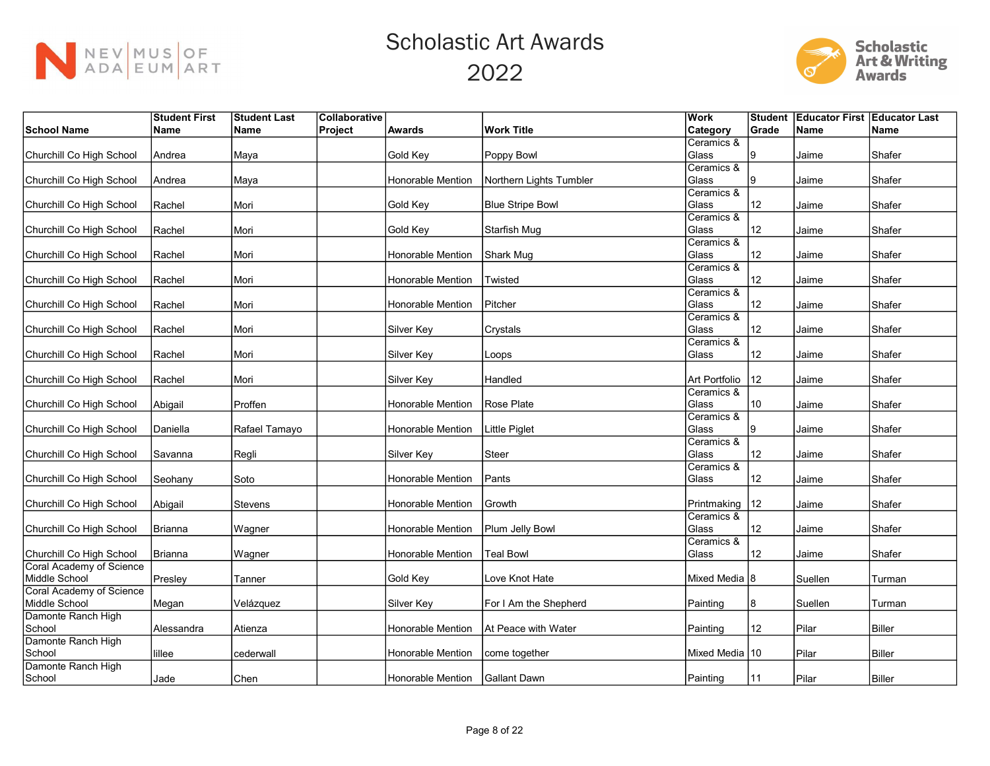



|                          | <b>Student First</b> | <b>Student Last</b> | Collaborative |                          |                         | Work             |                 | Student Educator First Educator Last |               |
|--------------------------|----------------------|---------------------|---------------|--------------------------|-------------------------|------------------|-----------------|--------------------------------------|---------------|
| <b>School Name</b>       | Name                 | ∣Name               | Project       | <b>Awards</b>            | <b>Work Title</b>       | Category         | Grade           | <b>Name</b>                          | <b>Name</b>   |
|                          |                      |                     |               |                          |                         | Ceramics &       |                 |                                      |               |
| Churchill Co High School | Andrea               | Maya                |               | Gold Key                 | Poppy Bowl              | Glass            |                 | Jaime                                | Shafer        |
|                          |                      |                     |               |                          |                         | Ceramics &       |                 |                                      |               |
| Churchill Co High School | Andrea               | Maya                |               | Honorable Mention        | Northern Lights Tumbler | Glass            | 9               | Jaime                                | Shafer        |
|                          |                      |                     |               |                          |                         | Ceramics &       |                 |                                      |               |
| Churchill Co High School | Rachel               | Mori                |               | Gold Key                 | <b>Blue Stripe Bowl</b> | Glass            | 12              | Jaime                                | Shafer        |
|                          |                      |                     |               |                          |                         | Ceramics &       |                 |                                      |               |
| Churchill Co High School | Rachel               | Mori                |               | Gold Key                 | Starfish Mug            | Glass            | 12 <sup>°</sup> | Jaime                                | Shafer        |
|                          |                      |                     |               |                          |                         | Ceramics &       |                 |                                      |               |
| Churchill Co High School | Rachel               | lMori               |               | Honorable Mention        | Shark Mug               | Glass            | 12              | Jaime                                | Shafer        |
|                          |                      |                     |               |                          |                         | Ceramics &       |                 |                                      |               |
| Churchill Co High School | Rachel               | Mori                |               | Honorable Mention        | Twisted                 | Glass            | 12              | Jaime                                | Shafer        |
|                          |                      |                     |               |                          |                         | Ceramics &       |                 |                                      |               |
| Churchill Co High School | Rachel               | lMori               |               | Honorable Mention        | Pitcher                 | Glass            | 12              | Jaime                                | Shafer        |
|                          |                      |                     |               |                          |                         | Ceramics &       |                 |                                      |               |
| Churchill Co High School | Rachel               | Mori                |               | Silver Key               | Crystals                | Glass            | 12              | Jaime                                | Shafer        |
|                          |                      |                     |               |                          |                         | Ceramics &       |                 |                                      |               |
| Churchill Co High School | Rachel               | Mori                |               | Silver Key               | Loops                   | Glass            | 12              | Jaime                                | Shafer        |
|                          |                      |                     |               |                          |                         |                  |                 |                                      |               |
| Churchill Co High School | Rachel               | Mori                |               | Silver Key               | Handled                 | Art Portfolio    | $ 12\rangle$    | Jaime                                | Shafer        |
|                          |                      |                     |               |                          |                         | Ceramics &       |                 |                                      |               |
| Churchill Co High School | Abigail              | Proffen             |               | <b>Honorable Mention</b> | Rose Plate              | Glass            | 10              | Jaime                                | Shafer        |
|                          |                      |                     |               |                          |                         | Ceramics &       |                 |                                      |               |
| Churchill Co High School | Daniella             | Rafael Tamayo       |               | Honorable Mention        | <b>Little Piglet</b>    | Glass            | 9               | Jaime                                | Shafer        |
|                          |                      |                     |               |                          |                         | Ceramics &       |                 |                                      |               |
| Churchill Co High School | Savanna              | Regli               |               | Silver Key               | <b>Steer</b>            | Glass            | 12              | Jaime                                | Shafer        |
|                          |                      |                     |               |                          |                         | Ceramics &       |                 |                                      |               |
| Churchill Co High School | Seohany              | Soto                |               | Honorable Mention        | Pants                   | Glass            | 12              | Jaime                                | Shafer        |
|                          |                      |                     |               |                          |                         |                  |                 |                                      |               |
| Churchill Co High School | Abigail              | Stevens             |               | Honorable Mention        | Growth                  | Printmaking      | $ 12\rangle$    | Jaime                                | Shafer        |
|                          |                      |                     |               |                          |                         | Ceramics &       |                 |                                      |               |
| Churchill Co High School | Brianna              | Wagner              |               | Honorable Mention        | Plum Jelly Bowl         | Glass            | 12              | Jaime                                | Shafer        |
|                          |                      |                     |               |                          |                         | Ceramics &       |                 |                                      |               |
| Churchill Co High School | Brianna              | Wagner              |               | Honorable Mention        | <b>Teal Bowl</b>        | Glass            | 12              | Jaime                                | Shafer        |
| Coral Academy of Science |                      |                     |               |                          |                         |                  |                 |                                      |               |
| Middle School            | Presley              | Tanner              |               | Gold Key                 | Love Knot Hate          | Mixed Media 8    |                 | Suellen                              | Turman        |
| Coral Academy of Science |                      |                     |               |                          |                         |                  |                 |                                      |               |
| Middle School            | Megan                | Velázquez           |               | Silver Key               | For I Am the Shepherd   | Painting         | 8               | Suellen                              | Turman        |
| Damonte Ranch High       |                      |                     |               |                          |                         |                  |                 |                                      |               |
| School                   | Alessandra           | Atienza             |               | Honorable Mention        | At Peace with Water     | Painting         | 12              | Pilar                                | <b>Biller</b> |
| Damonte Ranch High       |                      |                     |               |                          |                         |                  |                 |                                      |               |
| School                   | lillee               | cederwall           |               | Honorable Mention        | come together           | Mixed Media   10 |                 | Pilar                                | Biller        |
| Damonte Ranch High       |                      |                     |               |                          |                         |                  |                 |                                      |               |
| School                   | Jade                 | Chen                |               | Honorable Mention        | lGallant Dawn           | Painting         | 11              | Pilar                                | <b>Biller</b> |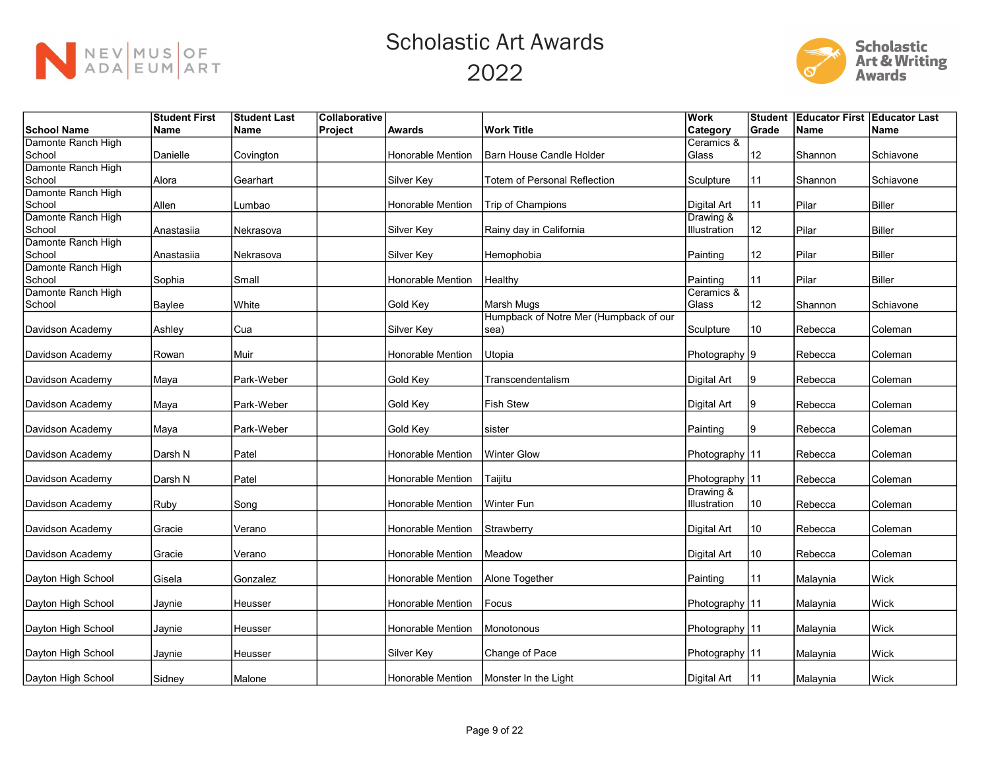



|                              | <b>Student First</b> | <b>Student Last</b> | Collaborative |                          |                                        | Work             | <b>Student</b> | <b>Educator First Educator Last</b> |               |
|------------------------------|----------------------|---------------------|---------------|--------------------------|----------------------------------------|------------------|----------------|-------------------------------------|---------------|
| School Name                  | <b>Name</b>          | Name                | Project       | <b>Awards</b>            | <b>Work Title</b>                      | <b>Category</b>  | Grade          | Name                                | Name          |
| Damonte Ranch High           |                      |                     |               |                          |                                        | Ceramics &       |                |                                     |               |
| School                       | Danielle             | Covington           |               | Honorable Mention        | <b>Barn House Candle Holder</b>        | Glass            | 12             | Shannon                             | Schiavone     |
| Damonte Ranch High           |                      |                     |               |                          |                                        |                  |                |                                     |               |
| School                       | Alora                | Gearhart            |               | Silver Key               | Totem of Personal Reflection           | Sculpture        | 11             | Shannon                             | Schiavone     |
| Damonte Ranch High           |                      |                     |               |                          |                                        |                  |                |                                     |               |
| School                       | Allen                | Lumbao              |               | <b>Honorable Mention</b> | Trip of Champions                      | Digital Art      | 11             | Pilar                               | <b>Biller</b> |
| Damonte Ranch High           |                      |                     |               |                          |                                        | Drawing &        |                |                                     |               |
| School                       | Anastasiia           | Nekrasova           |               | Silver Key               | Rainy day in California                | Illustration     | 12             | Pilar                               | Biller        |
| Damonte Ranch High<br>School | Anastasiia           | Nekrasova           |               | Silver Key               | Hemophobia                             | Painting         | 12             | Pilar                               | Biller        |
| Damonte Ranch High           |                      |                     |               |                          |                                        |                  |                |                                     |               |
| School                       | Sophia               | Small               |               | <b>Honorable Mention</b> | Healthy                                | Painting         | 11             | Pilar                               | Biller        |
| Damonte Ranch High           |                      |                     |               |                          |                                        | Ceramics &       |                |                                     |               |
| School                       | Baylee               | White               |               | Gold Key                 | Marsh Mugs                             | Glass            | 12             | Shannon                             | Schiavone     |
|                              |                      |                     |               |                          | Humpback of Notre Mer (Humpback of our |                  |                |                                     |               |
| Davidson Academy             | Ashley               | Cua                 |               | Silver Key               | sea)                                   | Sculpture        | 10             | Rebecca                             | Coleman       |
|                              |                      |                     |               |                          |                                        |                  |                |                                     |               |
| Davidson Academy             | Rowan                | Muir                |               | <b>Honorable Mention</b> | Utopia                                 | Photography 9    |                | Rebecca                             | Coleman       |
|                              |                      |                     |               |                          |                                        |                  |                |                                     |               |
| Davidson Academy             | Maya                 | Park-Weber          |               | Gold Key                 | Transcendentalism                      | Digital Art      | 9              | Rebecca                             | Coleman       |
|                              |                      |                     |               |                          |                                        |                  |                |                                     |               |
| Davidson Academy             | Maya                 | Park-Weber          |               | Gold Key                 | <b>Fish Stew</b>                       | Digital Art      | 9              | Rebecca                             | Coleman       |
| Davidson Academy             |                      | Park-Weber          |               | Gold Key                 | sister                                 | Painting         | 9              | Rebecca                             | Coleman       |
|                              | Maya                 |                     |               |                          |                                        |                  |                |                                     |               |
| Davidson Academy             | Darsh N              | Patel               |               | <b>Honorable Mention</b> | <b>Winter Glow</b>                     | Photography 11   |                | Rebecca                             | Coleman       |
|                              |                      |                     |               |                          |                                        |                  |                |                                     |               |
| Davidson Academy             | Darsh N              | Patel               |               | Honorable Mention        | Taijitu                                | Photography   11 |                | Rebecca                             | Coleman       |
|                              |                      |                     |               |                          |                                        | Drawing &        |                |                                     |               |
| Davidson Academy             | Ruby                 | Song                |               | Honorable Mention        | Winter Fun                             | Illustration     | 10             | Rebecca                             | Coleman       |
|                              |                      |                     |               |                          |                                        |                  |                |                                     |               |
| Davidson Academy             | Gracie               | Verano              |               | Honorable Mention        | Strawberry                             | Digital Art      | 10             | Rebecca                             | Coleman       |
|                              |                      |                     |               |                          |                                        |                  |                |                                     |               |
| Davidson Academy             | Gracie               | Verano              |               | Honorable Mention        | Meadow                                 | Digital Art      | 10             | Rebecca                             | Coleman       |
|                              |                      |                     |               |                          |                                        |                  |                |                                     |               |
| Dayton High School           | Gisela               | Gonzalez            |               | Honorable Mention        | Alone Together                         | Painting         | 11             | Malaynia                            | Wick          |
| Dayton High School           | Jaynie               | Heusser             |               | Honorable Mention        | Focus                                  | Photography   11 |                | Malaynia                            | Wick          |
|                              |                      |                     |               |                          |                                        |                  |                |                                     |               |
| Dayton High School           | Jaynie               | Heusser             |               | <b>Honorable Mention</b> | Monotonous                             | Photography   11 |                | Malaynia                            | Wick          |
|                              |                      |                     |               |                          |                                        |                  |                |                                     |               |
| Dayton High School           | Jaynie               | Heusser             |               | Silver Key               | Change of Pace                         | Photography 11   |                | Malaynia                            | Wick          |
|                              |                      |                     |               |                          |                                        |                  |                |                                     |               |
| Dayton High School           | Sidney               | Malone              |               | Honorable Mention        | Monster In the Light                   | Digital Art      | 11             | Malaynia                            | <b>Wick</b>   |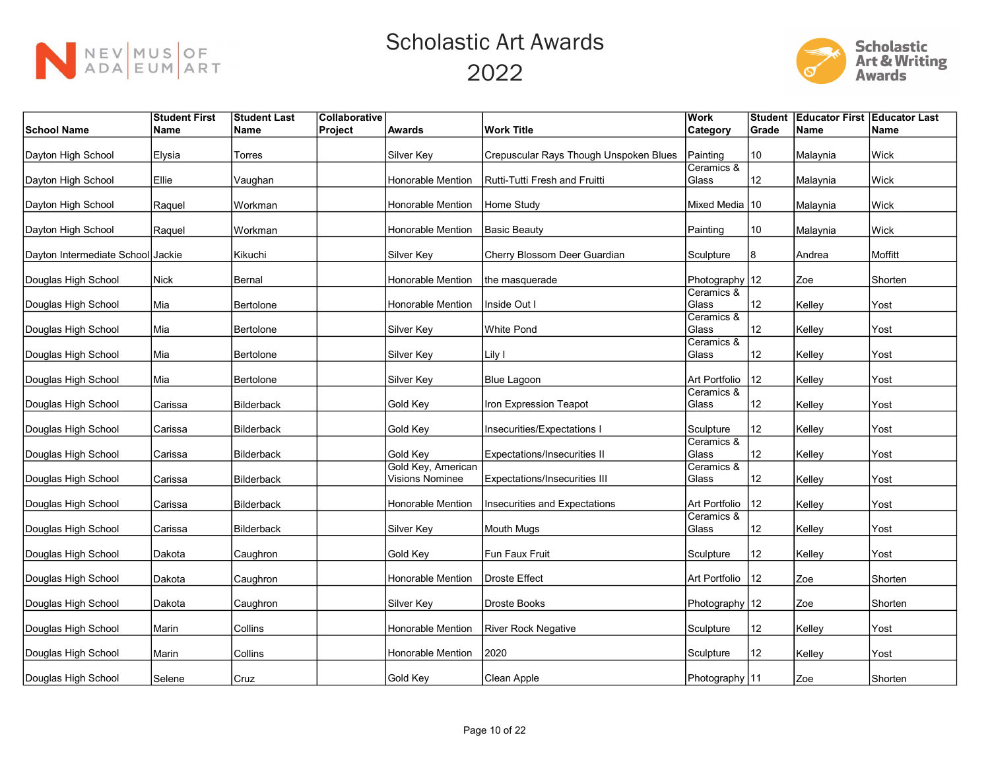



|                                   | <b>Student First</b> | <b>Student Last</b> | Collaborative |                                       |                                        | Work                | <b>Student</b> | <b>Educator First Educator Last</b> |             |
|-----------------------------------|----------------------|---------------------|---------------|---------------------------------------|----------------------------------------|---------------------|----------------|-------------------------------------|-------------|
| <b>School Name</b>                | <b>Name</b>          | ∣Name               | Project       | <b>Awards</b>                         | <b>Work Title</b>                      | Category            | Grade          | Name                                | <b>Name</b> |
| Dayton High School                | Elysia               | Torres              |               | Silver Kev                            | Crepuscular Rays Though Unspoken Blues | Painting            | 10             | Malaynia                            | <b>Wick</b> |
|                                   |                      |                     |               |                                       |                                        | Ceramics &          |                |                                     |             |
| Dayton High School                | Ellie                | Vaughan             |               | <b>Honorable Mention</b>              | Rutti-Tutti Fresh and Fruitti          | Glass               | 12             | Malaynia                            | Wick        |
| Dayton High School                | Raquel               | Workman             |               | <b>Honorable Mention</b>              | Home Study                             | Mixed Media 10      |                | Malaynia                            | Wick        |
| Dayton High School                | Raquel               | Workman             |               | <b>Honorable Mention</b>              | Basic Beauty                           | Painting            | $10$           | Malaynia                            | Wick        |
| Dayton Intermediate School Jackie |                      | Kikuchi             |               | Silver Key                            | Cherry Blossom Deer Guardian           | Sculpture           | 8              | Andrea                              | Moffitt     |
| Douglas High School               | <b>Nick</b>          | Bernal              |               | Honorable Mention                     | the masquerade                         | Photography 12      |                | Zoe                                 | Shorten     |
| Douglas High School               | Mia                  | Bertolone           |               | Honorable Mention                     | Inside Out I                           | Ceramics &<br>Glass | 12             | Kelley                              | Yost        |
|                                   |                      |                     |               |                                       |                                        | Ceramics &          |                |                                     |             |
| Douglas High School               | Mia                  | Bertolone           |               | Silver Key                            | White Pond                             | Glass               | 12             | Kelley                              | Yost        |
|                                   |                      |                     |               |                                       |                                        | Ceramics &          |                |                                     |             |
| Douglas High School               | Mia                  | Bertolone           |               | Silver Key                            | Lily I                                 | Glass               | 12             | Kelley                              | Yost        |
|                                   |                      |                     |               |                                       |                                        |                     |                |                                     |             |
| Douglas High School               | Mia                  | Bertolone           |               | Silver Key                            | Blue Lagoon                            | Art Portfolio       | 12             | Kelley                              | Yost        |
| Douglas High School               | Carissa              | Bilderback          |               | Gold Key                              | Iron Expression Teapot                 | Ceramics &<br>Glass | 12             | Kelley                              | Yost        |
| Douglas High School               | Carissa              | <b>Bilderback</b>   |               | Gold Key                              | Insecurities/Expectations I            | Sculpture           | 12             | Kelley                              | Yost        |
| Douglas High School               | Carissa              | Bilderback          |               | Gold Key                              | Expectations/Insecurities II           | Ceramics &<br>Glass | 12             | Kelley                              | Yost        |
| Douglas High School               | Carissa              | Bilderback          |               | Gold Key, American<br>Visions Nominee | Expectations/Insecurities III          | Ceramics &<br>Glass | 12             | Kelley                              | Yost        |
| Douglas High School               | Carissa              | Bilderback          |               | <b>Honorable Mention</b>              | Insecurities and Expectations          | Art Portfolio       | 12             | Kelley                              | Yost        |
| Douglas High School               | Carissa              | Bilderback          |               | <b>Silver Key</b>                     | Mouth Mugs                             | Ceramics &<br>Glass | 12             | Kelley                              | Yost        |
| Douglas High School               | Dakota               | Caughron            |               | Gold Key                              | Fun Faux Fruit                         | Sculpture           | 12             | Kelley                              | Yost        |
| Douglas High School               | Dakota               | Caughron            |               | <b>Honorable Mention</b>              | Droste Effect                          | Art Portfolio       | 12             | Zoe                                 | Shorten     |
| Douglas High School               | Dakota               | Caughron            |               | Silver Key                            | Droste Books                           | Photography 12      |                | Zoe                                 | Shorten     |
| Douglas High School               | Marin                | Collins             |               | Honorable Mention                     | River Rock Negative                    | Sculpture           | 12             | Kelley                              | Yost        |
| Douglas High School               | Marin                | <b>Collins</b>      |               | <b>Honorable Mention</b>              | 2020                                   | Sculpture           | 12             | Kelley                              | Yost        |
| Douglas High School               | Selene               | Cruz                |               | Gold Kev                              | Clean Apple                            | Photography   11    |                | Zoe                                 | Shorten     |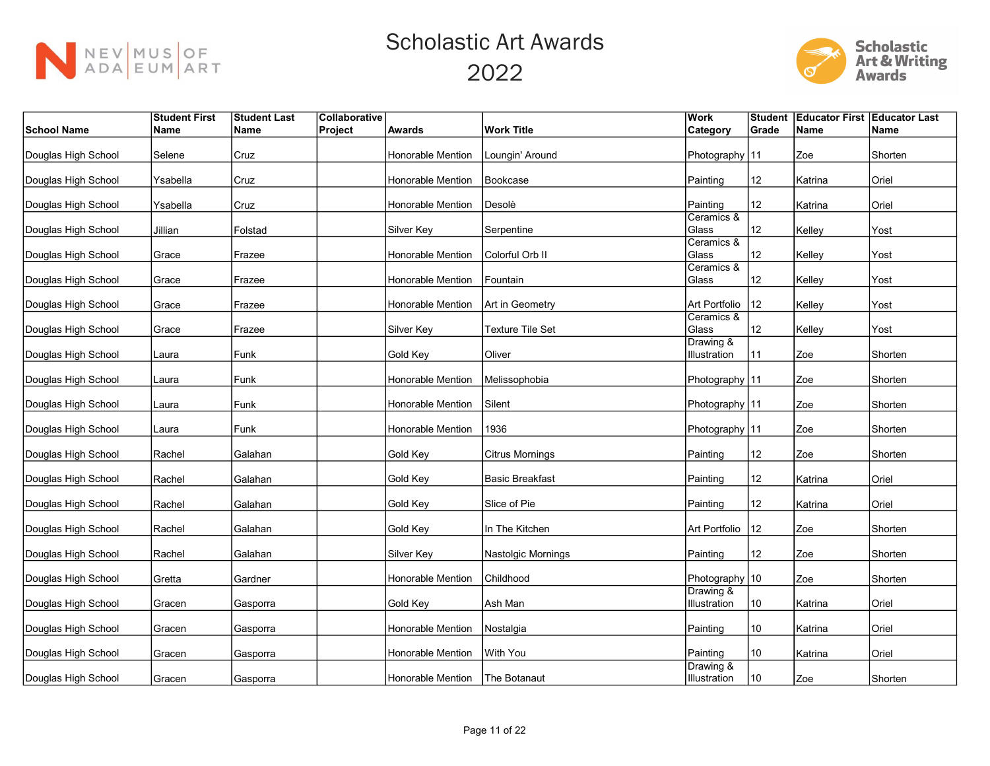



|                     | <b>Student First</b> | <b>Student Last</b> | Collaborative |                          |                         | <b>Work</b>               | Student | <b>Educator First Educator Last</b> |             |
|---------------------|----------------------|---------------------|---------------|--------------------------|-------------------------|---------------------------|---------|-------------------------------------|-------------|
| <b>School Name</b>  | Name                 | Name                | Project       | Awards                   | <b>Work Title</b>       | Category                  | Grade   | <b>Name</b>                         | <b>Name</b> |
| Douglas High School | Selene               | Cruz                |               | <b>Honorable Mention</b> | Loungin' Around         | Photography 11            |         | Zoe                                 | Shorten     |
| Douglas High School | Ysabella             | Cruz                |               | Honorable Mention        | Bookcase                | Painting                  | 12      | Katrina                             | Oriel       |
| Douglas High School | Ysabella             | Cruz                |               | Honorable Mention        | Desolè                  | Painting                  | 12      | Katrina                             | Oriel       |
| Douglas High School | Jillian              | Folstad             |               | Silver Key               | Serpentine              | Ceramics &<br>Glass       | 12      | Kelley                              | Yost        |
| Douglas High School | Grace                | Frazee              |               | Honorable Mention        | Colorful Orb II         | Ceramics &<br>Glass       | 12      | Kelley                              | Yost        |
| Douglas High School | Grace                | Frazee              |               | <b>Honorable Mention</b> | Fountain                | Ceramics &<br>Glass       | 12      | Kelley                              | Yost        |
| Douglas High School | Grace                | Frazee              |               | Honorable Mention        | Art in Geometry         | Art Portfolio             | 12      | Kelley                              | Yost        |
| Douglas High School | Grace                | Frazee              |               | Silver Key               | <b>Texture Tile Set</b> | Ceramics &<br>Glass       | 12      | Kelley                              | Yost        |
| Douglas High School | Laura                | Funk                |               | Gold Key                 | Oliver                  | Drawing &<br>Illustration | 11      | Zoe                                 | Shorten     |
| Douglas High School | Laura                | Funk                |               | <b>Honorable Mention</b> | Melissophobia           | Photography   11          |         | Zoe                                 | Shorten     |
| Douglas High School | Laura                | Funk                |               | Honorable Mention        | Silent                  | Photography   11          |         | Zoe                                 | Shorten     |
| Douglas High School | Laura                | Funk                |               | Honorable Mention        | 1936                    | Photography   11          |         | Zoe                                 | Shorten     |
| Douglas High School | Rachel               | Galahan             |               | Gold Key                 | <b>Citrus Mornings</b>  | Painting                  | 12      | Zoe                                 | Shorten     |
| Douglas High School | Rachel               | Galahan             |               | Gold Key                 | <b>Basic Breakfast</b>  | Painting                  | 12      | Katrina                             | Oriel       |
| Douglas High School | Rachel               | Galahan             |               | Gold Key                 | Slice of Pie            | Painting                  | 12      | Katrina                             | Oriel       |
| Douglas High School | Rachel               | Galahan             |               | Gold Key                 | In The Kitchen          | Art Portfolio             | 12      | Zoe                                 | Shorten     |
| Douglas High School | Rachel               | Galahan             |               | Silver Key               | Nastolgic Mornings      | Painting                  | 12      | Zoe                                 | Shorten     |
| Douglas High School | Gretta               | Gardner             |               | Honorable Mention        | Childhood               | Photography   10          |         | Zoe                                 | Shorten     |
| Douglas High School | Gracen               | Gasporra            |               | Gold Key                 | Ash Man                 | Drawing &<br>Illustration | 10      | Katrina                             | Oriel       |
| Douglas High School | Gracen               | Gasporra            |               | Honorable Mention        | Nostalgia               | Painting                  | 10      | Katrina                             | Oriel       |
| Douglas High School | Gracen               | Gasporra            |               | Honorable Mention        | With You                | Painting                  | 10      | Katrina                             | Oriel       |
| Douglas High School | Gracen               | Gasporra            |               | Honorable Mention        | The Botanaut            | Drawing &<br>Illustration | 10      | Zoe                                 | Shorten     |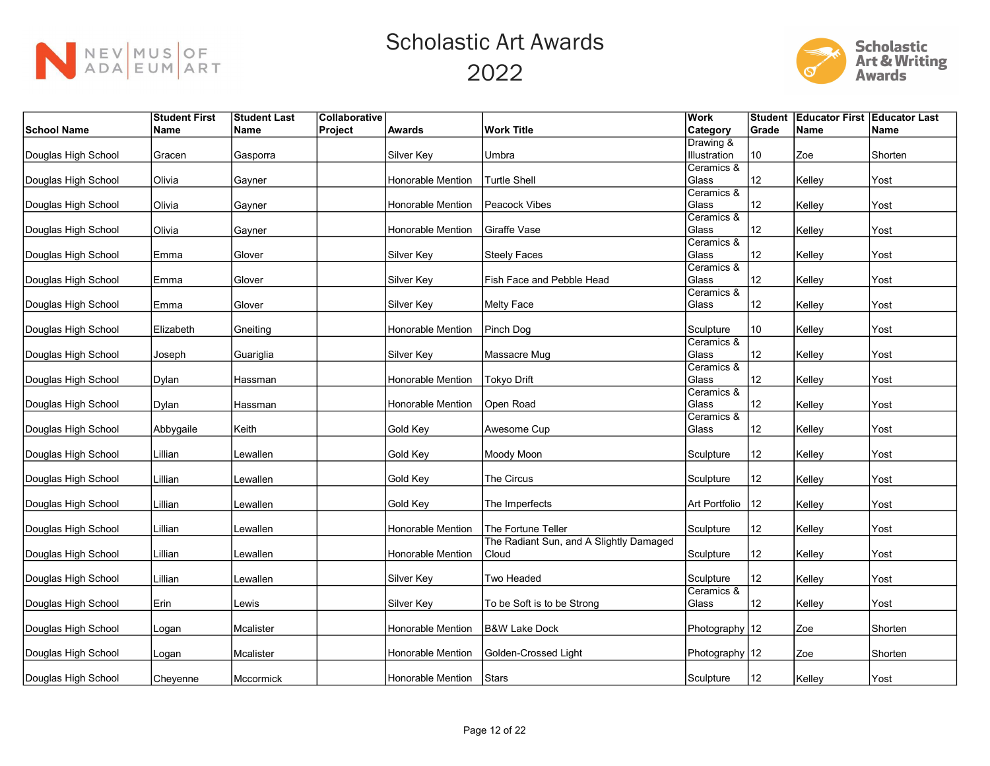



|                     | <b>Student First</b> | <b>Student Last</b> | Collaborative |                          |                                         | <b>Work</b>    | Student | <b>Educator First Educator Last</b> |         |
|---------------------|----------------------|---------------------|---------------|--------------------------|-----------------------------------------|----------------|---------|-------------------------------------|---------|
| <b>School Name</b>  | Name                 | ∣Name               | Project       | <b>Awards</b>            | <b>Work Title</b>                       | Category       | Grade   | <b>Name</b>                         | Name    |
|                     |                      |                     |               |                          |                                         | Drawing &      |         |                                     |         |
| Douglas High School | Gracen               | Gasporra            |               | Silver Key               | Umbra                                   | Illustration   | 10      | Zoe                                 | Shorten |
|                     |                      |                     |               |                          |                                         | Ceramics &     |         |                                     |         |
| Douglas High School | Olivia               | Gayner              |               | <b>Honorable Mention</b> | <b>Turtle Shell</b>                     | Glass          | 12      | Kelley                              | Yost    |
|                     |                      |                     |               |                          |                                         | Ceramics &     |         |                                     |         |
| Douglas High School | Olivia               | Gayner              |               | Honorable Mention        | Peacock Vibes                           | Glass          | 12      | Kelley                              | Yost    |
|                     |                      |                     |               |                          |                                         | Ceramics &     |         |                                     |         |
| Douglas High School | Olivia               | Gayner              |               | Honorable Mention        | Giraffe Vase                            | Glass          | 12      | Kelley                              | Yost    |
|                     |                      |                     |               |                          |                                         | Ceramics &     |         |                                     |         |
| Douglas High School | Emma                 | Glover              |               | Silver Key               | <b>Steely Faces</b>                     | Glass          | 12      | Kelley                              | Yost    |
|                     |                      |                     |               |                          |                                         | Ceramics &     |         |                                     |         |
| Douglas High School | Emma                 | Glover              |               | Silver Key               | Fish Face and Pebble Head               | Glass          | 12      | Kelley                              | Yost    |
|                     |                      |                     |               |                          |                                         | Ceramics &     |         |                                     |         |
| Douglas High School | Emma                 | Glover              |               | Silver Key               | <b>Melty Face</b>                       | Glass          | 12      | Kelley                              | Yost    |
|                     |                      |                     |               | Honorable Mention        | Pinch Dog                               | Sculpture      | 10      |                                     |         |
| Douglas High School | Elizabeth            | Gneiting            |               |                          |                                         | Ceramics &     |         | Kelley                              | Yost    |
| Douglas High School | Joseph               | Guariglia           |               | Silver Key               | Massacre Mug                            | Glass          | 12      | Kelley                              | Yost    |
|                     |                      |                     |               |                          |                                         | Ceramics &     |         |                                     |         |
| Douglas High School | <b>Dylan</b>         | Hassman             |               | Honorable Mention        | <b>Tokyo Drift</b>                      | Glass          | 12      | Kelley                              | Yost    |
|                     |                      |                     |               |                          |                                         | Ceramics &     |         |                                     |         |
| Douglas High School | Dylan                | Hassman             |               | Honorable Mention        | Open Road                               | Glass          | 12      | Kelley                              | Yost    |
|                     |                      |                     |               |                          |                                         | Ceramics &     |         |                                     |         |
| Douglas High School | Abbygaile            | Keith               |               | Gold Key                 | Awesome Cup                             | Glass          | 12      | Kelley                              | Yost    |
|                     |                      |                     |               |                          |                                         |                |         |                                     |         |
| Douglas High School | Lillian              | Lewallen            |               | Gold Key                 | Moody Moon                              | Sculpture      | 12      | Kelley                              | Yost    |
|                     |                      |                     |               |                          |                                         |                |         |                                     |         |
| Douglas High School | Lillian              | Lewallen            |               | Gold Key                 | The Circus                              | Sculpture      | 12      | Kelley                              | Yost    |
|                     |                      |                     |               |                          |                                         |                |         |                                     |         |
| Douglas High School | Lillian              | Lewallen            |               | Gold Key                 | The Imperfects                          | Art Portfolio  | 12      | Kelley                              | Yost    |
|                     |                      |                     |               |                          |                                         |                |         |                                     |         |
| Douglas High School | Lillian              | Lewallen            |               | Honorable Mention        | The Fortune Teller                      | Sculpture      | 12      | Kelley                              | Yost    |
|                     |                      |                     |               |                          | The Radiant Sun, and A Slightly Damaged |                |         |                                     |         |
| Douglas High School | Lillian              | Lewallen            |               | Honorable Mention        | Cloud                                   | Sculpture      | 12      | Kelley                              | Yost    |
|                     |                      |                     |               |                          |                                         |                |         |                                     |         |
| Douglas High School | Lillian              | Lewallen            |               | Silver Key               | Two Headed                              | Sculpture      | 12      | Kelley                              | Yost    |
|                     | Erin                 |                     |               |                          |                                         | Ceramics &     |         |                                     |         |
| Douglas High School |                      | Lewis               |               | Silver Key               | To be Soft is to be Strong              | Glass          | 12      | Kelley                              | Yost    |
| Douglas High School | Logan                | Mcalister           |               | Honorable Mention        | <b>B&amp;W Lake Dock</b>                | Photography 12 |         | Zoe                                 | Shorten |
|                     |                      |                     |               |                          |                                         |                |         |                                     |         |
| Douglas High School | Logan                | Mcalister           |               | Honorable Mention        | Golden-Crossed Light                    | Photography 12 |         | Zoe                                 | Shorten |
|                     |                      |                     |               |                          |                                         |                |         |                                     |         |
| Douglas High School | Cheyenne             | Mccormick           |               | Honorable Mention        | Stars                                   | Sculpture      | 12      | Kelley                              | Yost    |
|                     |                      |                     |               |                          |                                         |                |         |                                     |         |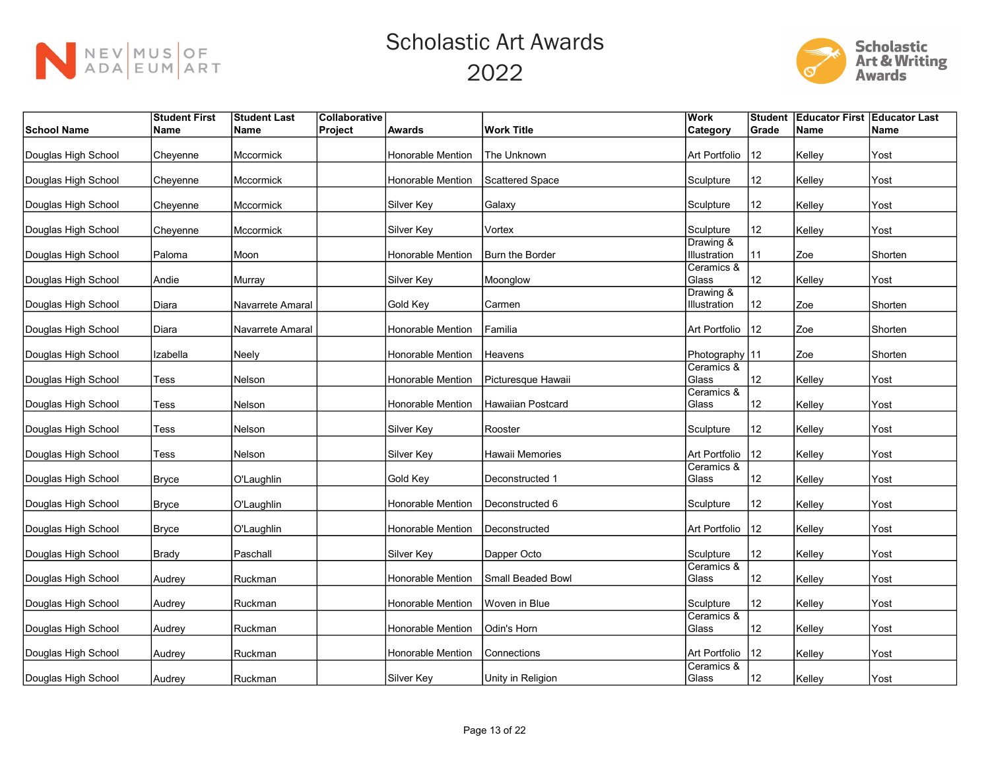



|                     | <b>Student First</b> | <b>Student Last</b> | Collaborative |                          |                          | <b>Work</b>               | <b>Student</b> | <b>Educator First Educator Last</b> |         |
|---------------------|----------------------|---------------------|---------------|--------------------------|--------------------------|---------------------------|----------------|-------------------------------------|---------|
| <b>School Name</b>  | Name                 | Name                | Project       | <b>Awards</b>            | <b>Work Title</b>        | Category                  | Grade          | Name                                | Name    |
| Douglas High School | Cheyenne             | Mccormick           |               | Honorable Mention        | The Unknown              | Art Portfolio             | 12             | Kelley                              | Yost    |
| Douglas High School | Cheyenne             | Mccormick           |               | Honorable Mention        | <b>Scattered Space</b>   | Sculpture                 | 12             | Kelley                              | Yost    |
| Douglas High School | Cheyenne             | Mccormick           |               | Silver Key               | Galaxy                   | Sculpture                 | 12             | Kelley                              | Yost    |
| Douglas High School | Cheyenne             | Mccormick           |               | Silver Key               | Vortex                   | Sculpture                 | 12             | Kelley                              | Yost    |
| Douglas High School | Paloma               | Moon                |               | <b>Honorable Mention</b> | Burn the Border          | Drawing &<br>Illustration | 11             | Zoe                                 | Shorten |
| Douglas High School | Andie                | Murray              |               | Silver Key               | Moonglow                 | Ceramics &<br>Glass       | 12             | Kelley                              | Yost    |
| Douglas High School | Diara                | Navarrete Amaral    |               | Gold Key                 | Carmen                   | Drawing &<br>Illustration | 12             | Zoe                                 | Shorten |
| Douglas High School | Diara                | Navarrete Amaral    |               | Honorable Mention        | Familia                  | Art Portfolio             | $ 12\rangle$   | Zoe                                 | Shorten |
| Douglas High School | Izabella             | Neely               |               | Honorable Mention        | Heavens                  | Photography 11            |                | Zoe                                 | Shorten |
| Douglas High School | Tess                 | Nelson              |               | Honorable Mention        | Picturesque Hawaii       | Ceramics &<br>Glass       | 12             | Kelley                              | Yost    |
| Douglas High School | Tess                 | Nelson              |               | Honorable Mention        | <b>Hawaiian Postcard</b> | Ceramics &<br>Glass       | 12             | Kelley                              | Yost    |
| Douglas High School | Tess                 | Nelson              |               | Silver Key               | Rooster                  | Sculpture                 | 12             | Kelley                              | Yost    |
| Douglas High School | Tess                 | Nelson              |               | Silver Key               | Hawaii Memories          | Art Portfolio             | 12             | Kelley                              | Yost    |
| Douglas High School | <b>Bryce</b>         | O'Laughlin          |               | Gold Key                 | Deconstructed 1          | Ceramics &<br>Glass       | 12             | Kelley                              | Yost    |
| Douglas High School | <b>Bryce</b>         | O'Laughlin          |               | <b>Honorable Mention</b> | Deconstructed 6          | Sculpture                 | 12             | Kelley                              | Yost    |
| Douglas High School | <b>Bryce</b>         | O'Laughlin          |               | <b>Honorable Mention</b> | Deconstructed            | Art Portfolio             | 12             | Kelley                              | Yost    |
| Douglas High School | <b>Brady</b>         | Paschall            |               | Silver Key               | Dapper Octo              | Sculpture                 | 12             | Kelley                              | Yost    |
| Douglas High School | Audrey               | Ruckman             |               | <b>Honorable Mention</b> | Small Beaded Bowl        | Ceramics &<br>Glass       | 12             | Kelley                              | Yost    |
| Douglas High School | Audrey               | Ruckman             |               | Honorable Mention        | Woven in Blue            | Sculpture                 | 12             | Kelley                              | Yost    |
| Douglas High School | Audrey               | Ruckman             |               | Honorable Mention        | Odin's Horn              | Ceramics &<br>Glass       | 12             | Kelley                              | Yost    |
| Douglas High School | Audrey               | Ruckman             |               | Honorable Mention        | Connections              | Art Portfolio             | 12             | Kelley                              | Yost    |
| Douglas High School | Audrey               | Ruckman             |               | Silver Key               | Unity in Religion        | Ceramics &<br>Glass       | 12             | Kelley                              | Yost    |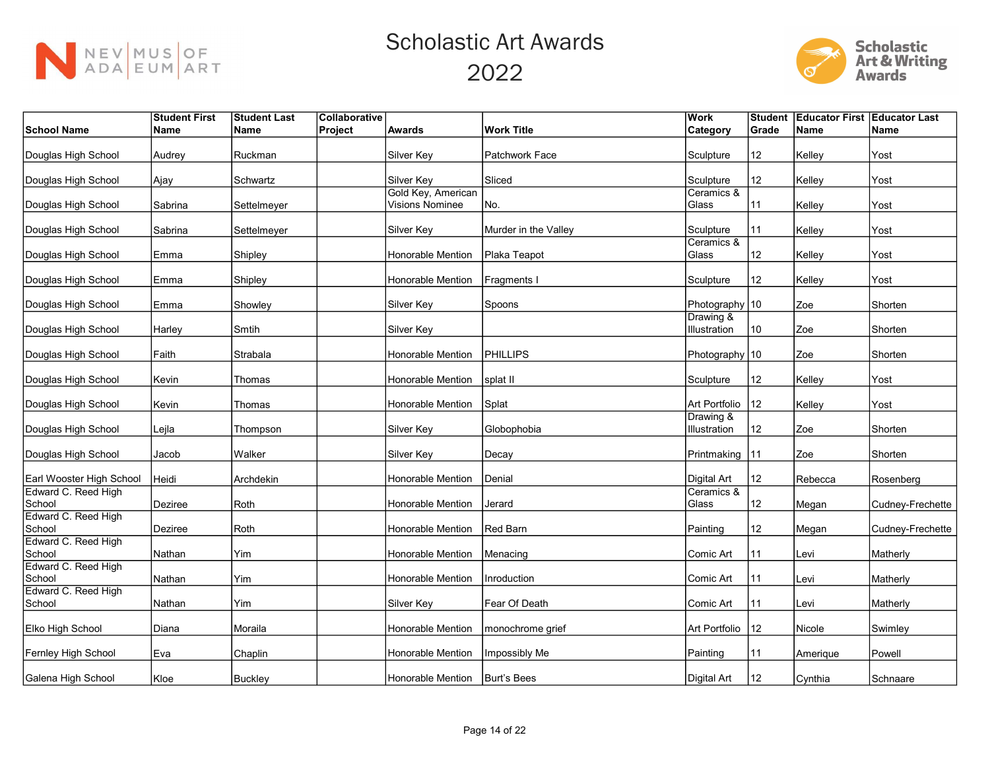



|                               | <b>Student First</b> | <b>Student Last</b> | Collaborative |                        |                      | <b>Work</b>                 | <b>Student</b> |             | <b>Educator First Educator Last</b> |
|-------------------------------|----------------------|---------------------|---------------|------------------------|----------------------|-----------------------------|----------------|-------------|-------------------------------------|
| <b>School Name</b>            | Name                 | Name                | Project       | <b>Awards</b>          | <b>Work Title</b>    | Category                    | Grade          | <b>Name</b> | <b>Name</b>                         |
|                               |                      |                     |               |                        |                      |                             |                |             |                                     |
| Douglas High School           | Audrey               | Ruckman             |               | Silver Key             | Patchwork Face       | Sculpture                   | 12             | Kelley      | Yost                                |
| Douglas High School           | Ajay                 | Schwartz            |               | Silver Key             | Sliced               | Sculpture                   | 12             | Kelley      | Yost                                |
|                               |                      |                     |               | Gold Key, American     |                      | Ceramics &                  |                |             |                                     |
| Douglas High School           | Sabrina              | Settelmeyer         |               | <b>Visions Nominee</b> | No.                  | Glass                       | 11             | Kelley      | Yost                                |
| Douglas High School           | Sabrina              | Settelmeyer         |               | Silver Key             | Murder in the Valley | Sculpture                   | 11             | Kelley      | Yost                                |
|                               |                      |                     |               |                        |                      | Ceramics &                  |                |             |                                     |
| Douglas High School           | Emma                 | Shipley             |               | Honorable Mention      | Plaka Teapot         | Glass                       | 12             | Kelley      | Yost                                |
| Douglas High School           | Emma                 | Shipley             |               | Honorable Mention      | Fragments I          | Sculpture                   | 12             | Kelley      | Yost                                |
|                               |                      |                     |               |                        |                      |                             |                |             |                                     |
| Douglas High School           | Emma                 | Showley             |               | Silver Key             | Spoons               | Photography 10<br>Drawing & |                | Zoe         | Shorten                             |
| Douglas High School           | Harley               | Smtih               |               | Silver Key             |                      | Illustration                | 10             | Zoe         | Shorten                             |
|                               |                      |                     |               |                        |                      |                             |                |             |                                     |
| Douglas High School           | Faith                | Strabala            |               | Honorable Mention      | PHILLIPS             | Photography 10              |                | Zoe         | Shorten                             |
|                               |                      |                     |               |                        |                      |                             |                |             |                                     |
| Douglas High School           | Kevin                | Thomas              |               | Honorable Mention      | splat II             | Sculpture                   | 12             | Kelley      | Yost                                |
| Douglas High School           | Kevin                | Thomas              |               | Honorable Mention      | Splat                | Art Portfolio               | 12             | Kelley      | Yost                                |
| Douglas High School           | Lejla                | Thompson            |               | Silver Key             | Globophobia          | Drawing &<br>Illustration   | 12             | Zoe         | Shorten                             |
| Douglas High School           | Jacob                | Walker              |               | Silver Key             | Decay                | Printmaking                 | 11             | Zoe         | Shorten                             |
|                               |                      |                     |               |                        |                      |                             |                |             |                                     |
| Earl Wooster High School      | Heidi                | Archdekin           |               | Honorable Mention      | Denial               | Digital Art                 | 12             | Rebecca     | Rosenberg                           |
| Edward C. Reed High<br>School | Deziree              | Roth                |               | Honorable Mention      | Jerard               | Ceramics &<br>Glass         | 12             | Megan       | Cudney-Frechette                    |
| Edward C. Reed High           |                      |                     |               |                        |                      |                             |                |             |                                     |
| School                        | Deziree              | Roth                |               | Honorable Mention      | Red Barn             | Painting                    | 12             | Megan       | Cudney-Frechette                    |
| Edward C. Reed High           |                      |                     |               |                        |                      |                             |                |             |                                     |
| School<br>Edward C. Reed High | Nathan               | Yim                 |               | Honorable Mention      | Menacing             | Comic Art                   | 11             | Levi        | Matherly                            |
| School                        | Nathan               | Yim                 |               | Honorable Mention      | Inroduction          | Comic Art                   | 11             | Levi        | Matherly                            |
| Edward C. Reed High           |                      |                     |               |                        |                      |                             |                |             |                                     |
| School                        | Nathan               | Yim                 |               | Silver Key             | Fear Of Death        | Comic Art                   | 11             | Levi        | Matherly                            |
| Elko High School              |                      | Moraila             |               | Honorable Mention      | monochrome grief     | Art Portfolio   12          |                | Nicole      | Swimley                             |
|                               | Diana                |                     |               |                        |                      |                             |                |             |                                     |
| Fernley High School           | Eva                  | Chaplin             |               | Honorable Mention      | Impossibly Me        | Painting                    | 11             | Amerique    | Powell                              |
|                               |                      |                     |               |                        |                      |                             |                |             |                                     |
| Galena High School            | Kloe                 | Buckley             |               | Honorable Mention      | Burt's Bees          | Digital Art                 | 12             | Cynthia     | Schnaare                            |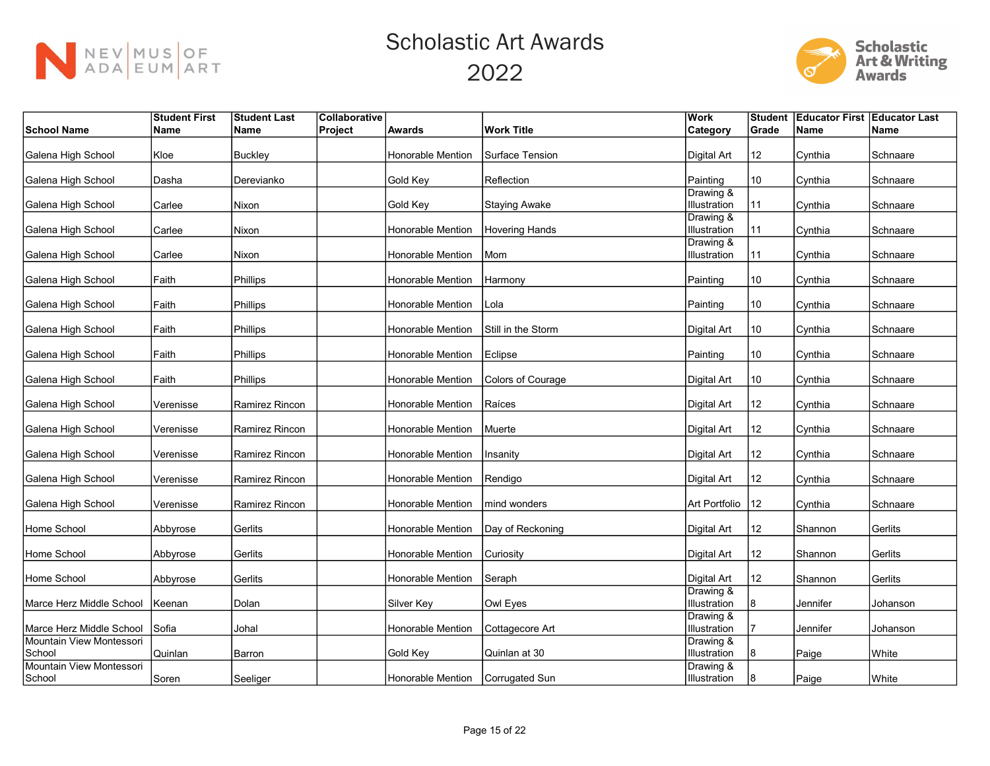



|                                    | <b>Student First</b> | <b>Student Last</b> | Collaborative |                   |                       | <b>Work</b>               | Student | <b>Educator First Educator Last</b> |          |
|------------------------------------|----------------------|---------------------|---------------|-------------------|-----------------------|---------------------------|---------|-------------------------------------|----------|
| <b>School Name</b>                 | Name                 | Name                | Project       | <b>Awards</b>     | <b>Work Title</b>     | Category                  | Grade   | Name                                | Name     |
| Galena High School                 | Kloe                 | <b>Buckley</b>      |               | Honorable Mention | Surface Tension       | Digital Art               | 12      | Cynthia                             | Schnaare |
| Galena High School                 | Dasha                | Derevianko          |               | Gold Key          | Reflection            | Painting                  | 10      | Cynthia                             | Schnaare |
| Galena High School                 | Carlee               | Nixon               |               | Gold Key          | <b>Staying Awake</b>  | Drawing &<br>Illustration | 11      | Cynthia                             | Schnaare |
| Galena High School                 | Carlee               | Nixon               |               | Honorable Mention | <b>Hovering Hands</b> | Drawing &<br>Illustration | 11      | Cynthia                             | Schnaare |
| Galena High School                 | Carlee               | Nixon               |               | Honorable Mention | l Mom                 | Drawing &<br>Illustration | 11      | Cynthia                             | Schnaare |
| Galena High School                 | Faith                | Phillips            |               | Honorable Mention | Harmony               | Painting                  | 10      | Cynthia                             | Schnaare |
| Galena High School                 | Faith                | Phillips            |               | Honorable Mention | Lola                  | Painting                  | 10      | Cynthia                             | Schnaare |
| Galena High School                 | Faith                | Phillips            |               | Honorable Mention | Still in the Storm    | Digital Art               | 10      | Cynthia                             | Schnaare |
| Galena High School                 | Faith                | Phillips            |               | Honorable Mention | Eclipse               | Painting                  | 10      | Cynthia                             | Schnaare |
| Galena High School                 | Faith                | Phillips            |               | Honorable Mention | Colors of Courage     | Digital Art               | 10      | Cynthia                             | Schnaare |
| Galena High School                 | Verenisse            | Ramirez Rincon      |               | Honorable Mention | Raíces                | Digital Art               | 12      | Cynthia                             | Schnaare |
| Galena High School                 | Verenisse            | Ramirez Rincon      |               | Honorable Mention | Muerte                | <b>Digital Art</b>        | 12      | Cynthia                             | Schnaare |
| Galena High School                 | Verenisse            | Ramirez Rincon      |               | Honorable Mention | Insanity              | <b>Digital Art</b>        | 12      | Cynthia                             | Schnaare |
| Galena High School                 | Verenisse            | Ramirez Rincon      |               | Honorable Mention | Rendigo               | Digital Art               | 12      | Cynthia                             | Schnaare |
| Galena High School                 | Verenisse            | Ramirez Rincon      |               | Honorable Mention | mind wonders          | Art Portfolio             | 12      | Cynthia                             | Schnaare |
| Home School                        | Abbyrose             | Gerlits             |               | Honorable Mention | Day of Reckoning      | Digital Art               | 12      | Shannon                             | Gerlits  |
| Home School                        | Abbyrose             | Gerlits             |               | Honorable Mention | Curiosity             | Digital Art               | 12      | Shannon                             | Gerlits  |
| Home School                        | Abbyrose             | Gerlits             |               | Honorable Mention | Seraph                | <b>Digital Art</b>        | 12      | Shannon                             | Gerlits  |
| Marce Herz Middle School           | Keenan               | Dolan               |               | Silver Key        | Owl Eyes              | Drawing &<br>Illustration | 8       | Jennifer                            | Johanson |
| Marce Herz Middle School           | Sofia                | Johal               |               | Honorable Mention | Cottagecore Art       | Drawing &<br>Illustration | 17      | Jennifer                            | Johanson |
| Mountain View Montessori           |                      |                     |               |                   |                       | Drawing &                 |         |                                     |          |
| School<br>Mountain View Montessori | Quinlan              | Barron              |               | Gold Key          | Quinlan at 30         | Illustration<br>Drawing & | 8       | Paige                               | White    |
| School                             | Soren                | Seeliger            |               | Honorable Mention | Corrugated Sun        | Illustration              | 18      | Paige                               | White    |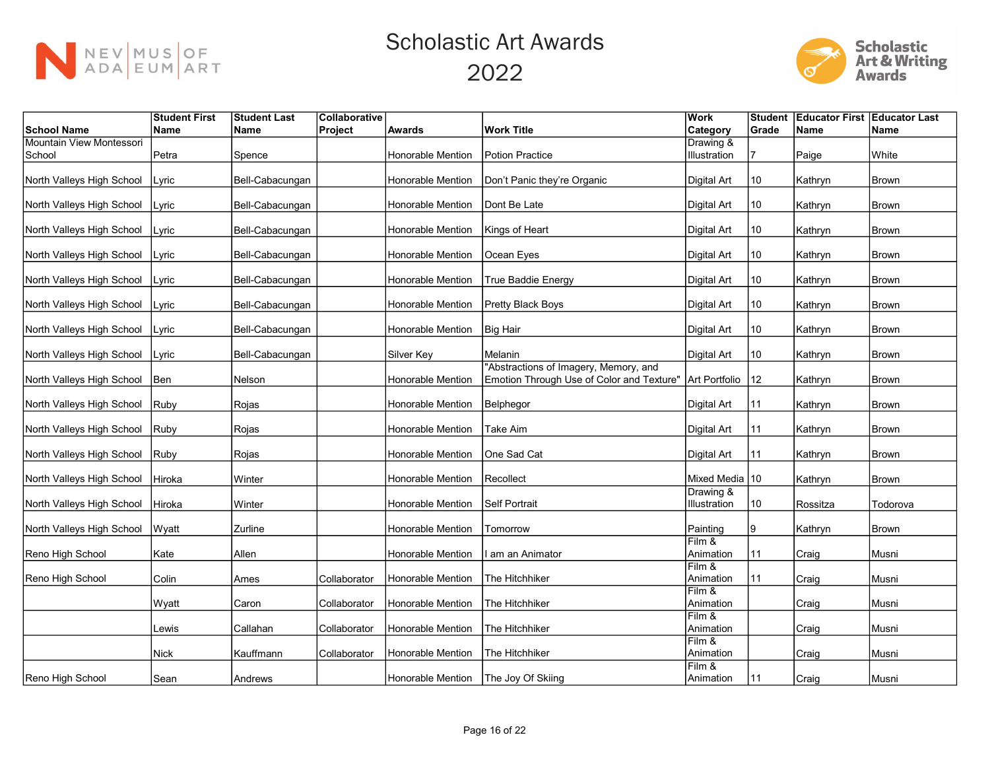



|                           | <b>Student First</b> | <b>Student Last</b> | Collaborative |                          |                                           | Work                      | <b>Student</b> | <b>Educator First Educator Last</b> |              |
|---------------------------|----------------------|---------------------|---------------|--------------------------|-------------------------------------------|---------------------------|----------------|-------------------------------------|--------------|
| School Name               | Name                 | Name                | Project       | <b>Awards</b>            | <b>Work Title</b>                         | Category                  | Grade          | Name                                | Name         |
| Mountain View Montessori  |                      |                     |               |                          |                                           | Drawing &                 |                |                                     |              |
| School                    | Petra                | Spence              |               | Honorable Mention        | Potion Practice                           | Illustration              |                | Paige                               | White        |
| North Valleys High School | Lyric                | Bell-Cabacungan     |               | Honorable Mention        | Don't Panic they're Organic               | Digital Art               | 10             | Kathryn                             | <b>Brown</b> |
| North Valleys High School | Lyric                | Bell-Cabacungan     |               | Honorable Mention        | Dont Be Late                              | Digital Art               | 10             | Kathryn                             | <b>Brown</b> |
| North Valleys High School | Lyric                | Bell-Cabacungan     |               | Honorable Mention        | Kings of Heart                            | <b>Digital Art</b>        | 10             | Kathryn                             | <b>Brown</b> |
| North Valleys High School | Lyric                | Bell-Cabacungan     |               | Honorable Mention        | Ocean Eyes                                | <b>Digital Art</b>        | 10             | Kathryn                             | <b>Brown</b> |
| North Valleys High School | Lyric                | Bell-Cabacungan     |               | Honorable Mention        | True Baddie Energy                        | Digital Art               | 10             | Kathryn                             | Brown        |
| North Valleys High School | Lyric                | Bell-Cabacungan     |               | Honorable Mention        | Pretty Black Boys                         | Digital Art               | 10             | Kathryn                             | <b>Brown</b> |
| North Valleys High School | Lyric                | Bell-Cabacungan     |               | Honorable Mention        | Big Hair                                  | Digital Art               | 10             | Kathryn                             | <b>Brown</b> |
| North Valleys High School | Lyric                | Bell-Cabacungan     |               | Silver Key               | Melanin                                   | Digital Art               | 10             | Kathryn                             | <b>Brown</b> |
|                           |                      |                     |               |                          | "Abstractions of Imagery, Memory, and     |                           |                |                                     |              |
| North Valleys High School | Ben                  | Nelson              |               | Honorable Mention        | Emotion Through Use of Color and Texture" | Art Portfolio             | $ 12\rangle$   | Kathryn                             | <b>Brown</b> |
| North Valleys High School | Ruby                 | Rojas               |               | Honorable Mention        | Belphegor                                 | Digital Art               | 11             | Kathryn                             | <b>Brown</b> |
| North Valleys High School | Ruby                 | Rojas               |               | Honorable Mention        | Take Aim                                  | Digital Art               | 11             | Kathryn                             | <b>Brown</b> |
| North Valleys High School | Ruby                 | Rojas               |               | <b>Honorable Mention</b> | One Sad Cat                               | <b>Digital Art</b>        | 11             | Kathryn                             | <b>Brown</b> |
| North Valleys High School | Hiroka               | Winter              |               | Honorable Mention        | Recollect                                 | Mixed Media 10            |                | Kathryn                             | <b>Brown</b> |
| North Valleys High School | Hiroka               | Winter              |               | Honorable Mention        | Self Portrait                             | Drawing &<br>Illustration | 10             | Rossitza                            | Todorova     |
| North Valleys High School | Wyatt                | Zurline             |               | Honorable Mention        | Tomorrow                                  | Painting                  | Ι9             | Kathryn                             | <b>Brown</b> |
| Reno High School          | Kate                 | Allen               |               | <b>Honorable Mention</b> | I am an Animator                          | Film &<br>Animation       | l 11           | Craig                               | Musni        |
| Reno High School          | Colin                | Ames                | Collaborator  | <b>Honorable Mention</b> | The Hitchhiker                            | Film &<br>Animation       | 11             | Craig                               | Musni        |
|                           | Wyatt                | Caron               | Collaborator  | <b>Honorable Mention</b> | The Hitchhiker                            | Film &<br>Animation       |                | Craig                               | Musni        |
|                           | Lewis                | Callahan            | Collaborator  | Honorable Mention        | The Hitchhiker                            | Film &<br>Animation       |                | Craig                               | Musni        |
|                           | <b>Nick</b>          | Kauffmann           | Collaborator  | Honorable Mention        | The Hitchhiker                            | $Film$ &<br>Animation     |                | Craig                               | Musni        |
| Reno High School          | Sean                 | Andrews             |               | Honorable Mention        | The Joy Of Skiing                         | Film &<br>Animation       | 11             | Craig                               | Musni        |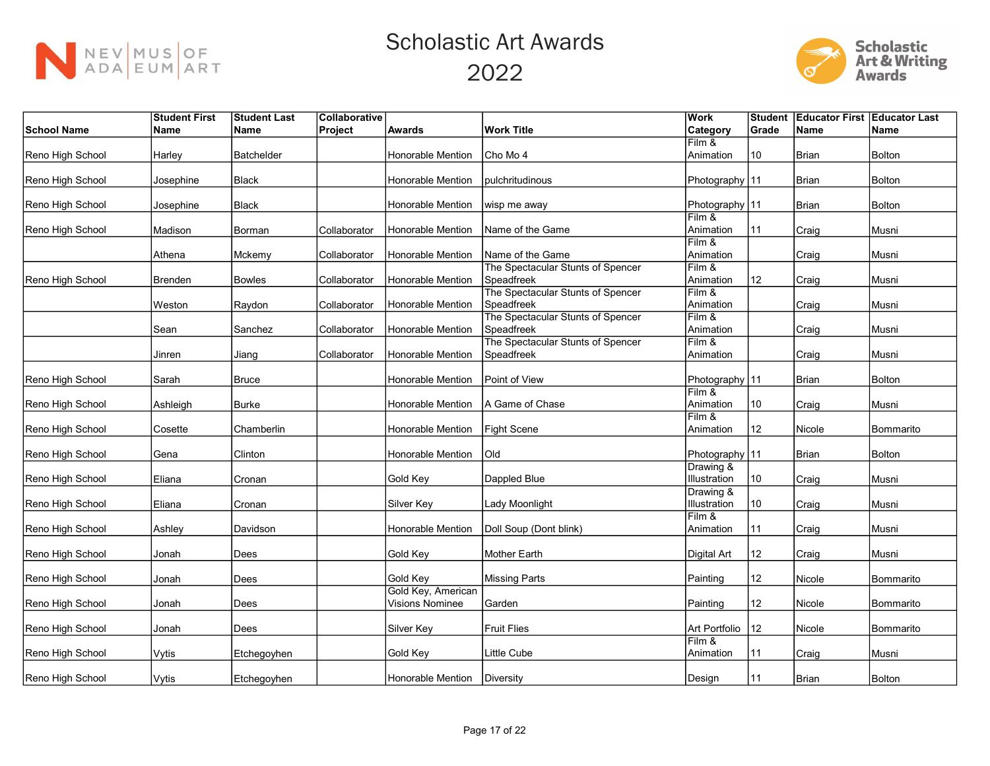



|                    | <b>Student First</b> | <b>Student Last</b> | Collaborative |                                |                                                 | Work                        | Student      | <b>Educator First Educator Last</b> |               |
|--------------------|----------------------|---------------------|---------------|--------------------------------|-------------------------------------------------|-----------------------------|--------------|-------------------------------------|---------------|
| <b>School Name</b> | <b>Name</b>          | Name                | Project       | <b>Awards</b>                  | <b>Work Title</b>                               | Category                    | Grade        | <b>Name</b>                         | <b>Name</b>   |
|                    |                      |                     |               |                                |                                                 | Film &                      |              |                                     |               |
| Reno High School   | Harley               | <b>Batchelder</b>   |               | Honorable Mention              | Cho Mo 4                                        | Animation                   | 10           | <b>Brian</b>                        | <b>Bolton</b> |
|                    |                      |                     |               |                                |                                                 |                             |              |                                     |               |
| Reno High School   | Josephine            | Black               |               | Honorable Mention              | pulchritudinous                                 | Photography   11            |              | Brian                               | <b>Bolton</b> |
| Reno High School   | Josephine            | Black               |               | Honorable Mention              | wisp me away                                    | Photography   11            |              | <b>Brian</b>                        | <b>Bolton</b> |
|                    |                      |                     |               |                                |                                                 | Film &                      |              |                                     |               |
| Reno High School   | Madison              | Borman              | Collaborator  | Honorable Mention              | Name of the Game                                | Animation                   | 11           | Craig                               | Musni         |
|                    |                      |                     |               |                                |                                                 | Film &                      |              |                                     |               |
|                    | Athena               | Mckemy              | Collaborator  | Honorable Mention              | Name of the Game                                | Animation                   |              | Craig                               | Musni         |
|                    |                      |                     |               |                                | The Spectacular Stunts of Spencer               | Film &                      |              |                                     |               |
| Reno High School   | <b>Brenden</b>       | Bowles              | Collaborator  | Honorable Mention              | Speadfreek                                      | Animation                   | 12           | Craig                               | Musni         |
|                    |                      |                     |               |                                | The Spectacular Stunts of Spencer               | Film &                      |              |                                     |               |
|                    | Weston               | Raydon              | Collaborator  | Honorable Mention              | Speadfreek                                      | Animation<br>Film &         |              | Craig                               | Musni         |
|                    | Sean                 | Sanchez             | Collaborator  | Honorable Mention              | The Spectacular Stunts of Spencer<br>Speadfreek | Animation                   |              | Craig                               | Musni         |
|                    |                      |                     |               |                                | The Spectacular Stunts of Spencer               | Film &                      |              |                                     |               |
|                    | Jinren               | Jiang               | Collaborator  | Honorable Mention              | Speadfreek                                      | Animation                   |              | Craig                               | Musni         |
|                    |                      |                     |               |                                |                                                 |                             |              |                                     |               |
| Reno High School   | Sarah                | Bruce               |               | Honorable Mention              | Point of View                                   | Photography 11              |              | <b>Brian</b>                        | <b>Bolton</b> |
|                    |                      |                     |               |                                |                                                 | Film &                      |              |                                     |               |
| Reno High School   | Ashleigh             | Burke               |               | Honorable Mention              | A Game of Chase                                 | Animation                   | 10           | Craig                               | Musni         |
|                    |                      |                     |               |                                |                                                 | Film &                      |              |                                     |               |
| Reno High School   | Cosette              | Chamberlin          |               | Honorable Mention              | Fight Scene                                     | Animation                   | 12           | Nicole                              | Bommarito     |
|                    |                      |                     |               |                                |                                                 |                             |              |                                     |               |
| Reno High School   | Gena                 | Clinton             |               | Honorable Mention              | Old                                             | Photography 11<br>Drawing & |              | <b>Brian</b>                        | <b>Bolton</b> |
| Reno High School   | Eliana               | Cronan              |               | Gold Key                       | Dappled Blue                                    | Illustration                | 10           | Craig                               | Musni         |
|                    |                      |                     |               |                                |                                                 | Drawing &                   |              |                                     |               |
| Reno High School   | Eliana               | Cronan              |               | Silver Key                     | Lady Moonlight                                  | Illustration                | 10           | Craig                               | Musni         |
|                    |                      |                     |               |                                |                                                 | Film &                      |              |                                     |               |
| Reno High School   | Ashley               | Davidson            |               | <b>Honorable Mention</b>       | Doll Soup (Dont blink)                          | Animation                   | l 11         | Craig                               | Musni         |
|                    |                      |                     |               |                                |                                                 |                             |              |                                     |               |
| Reno High School   | Jonah                | Dees                |               | Gold Key                       | <b>Mother Earth</b>                             | Digital Art                 | 12           | Craig                               | Musni         |
|                    |                      |                     |               |                                |                                                 |                             |              |                                     |               |
| Reno High School   | Jonah                | Dees                |               | Gold Key<br>Gold Key, American | <b>Missing Parts</b>                            | Painting                    | 12           | Nicole                              | Bommarito     |
| Reno High School   | Jonah                | Dees                |               | Visions Nominee                | Garden                                          | Painting                    | 12           | Nicole                              | Bommarito     |
|                    |                      |                     |               |                                |                                                 |                             |              |                                     |               |
| Reno High School   | Jonah                | Dees                |               | Silver Key                     | <b>Fruit Flies</b>                              | Art Portfolio               | $ 12\rangle$ | Nicole                              | Bommarito     |
|                    |                      |                     |               |                                |                                                 | Film &                      |              |                                     |               |
| Reno High School   | Vytis                | Etchegoyhen         |               | Gold Key                       | <b>Little Cube</b>                              | Animation                   | 11           | Craig                               | Musni         |
|                    |                      |                     |               |                                |                                                 |                             |              |                                     |               |
| Reno High School   | Vytis                | Etchegoyhen         |               | Honorable Mention              | Diversity                                       | Design                      | 11           | Brian                               | <b>Bolton</b> |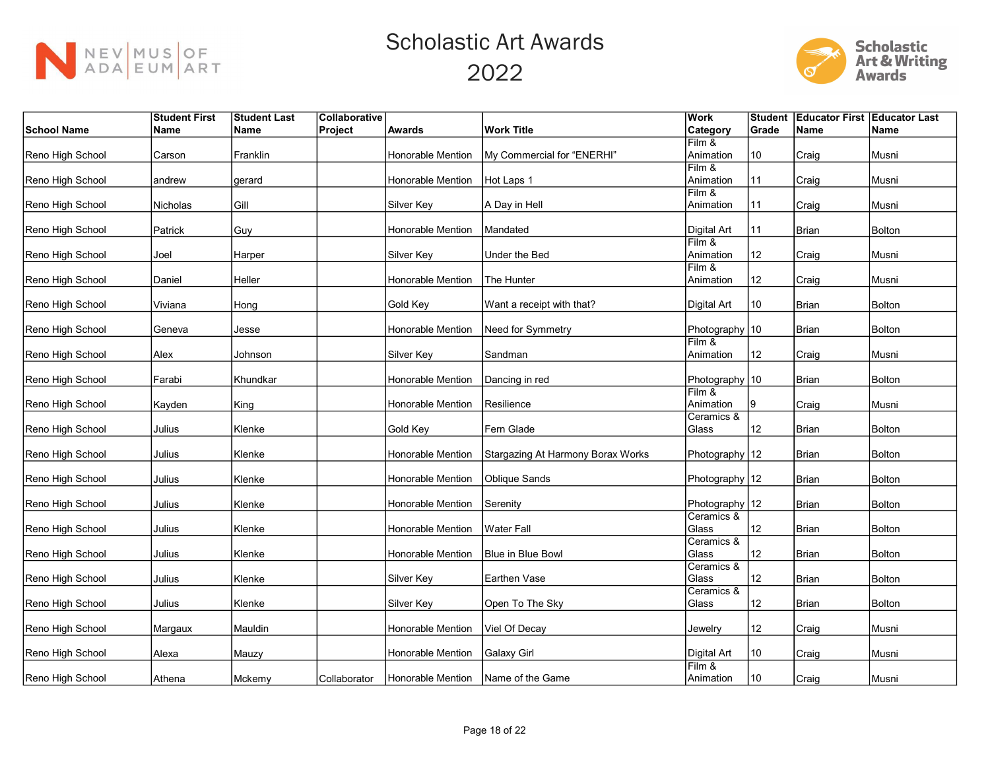



|                    | <b>Student First</b> | <b>Student Last</b> | Collaborative |                          |                                   | Work                | Student | <b>Educator First Educator Last</b> |               |
|--------------------|----------------------|---------------------|---------------|--------------------------|-----------------------------------|---------------------|---------|-------------------------------------|---------------|
| <b>School Name</b> | Name                 | Name                | Project       | <b>Awards</b>            | <b>Work Title</b>                 | Category            | Grade   | <b>Name</b>                         | <b>Name</b>   |
|                    |                      |                     |               |                          |                                   | Film &              |         |                                     |               |
| Reno High School   | Carson               | Franklin            |               | Honorable Mention        | My Commercial for "ENERHI"        | Animation           | 10      | Craig                               | Musni         |
|                    |                      |                     |               |                          |                                   | Film &              |         |                                     |               |
| Reno High School   | andrew               | gerard              |               | Honorable Mention        | Hot Laps 1                        | Animation           | 11      | Craig                               | Musni         |
|                    |                      |                     |               |                          |                                   | $Film$ &            |         |                                     |               |
| Reno High School   | Nicholas             | Gill                |               | Silver Key               | A Day in Hell                     | Animation           | l 11    | Craig                               | Musni         |
|                    |                      |                     |               |                          |                                   |                     |         |                                     |               |
| Reno High School   | Patrick              | Guy                 |               | Honorable Mention        | Mandated                          | <b>Digital Art</b>  | 11      | <b>Brian</b>                        | <b>Bolton</b> |
|                    |                      |                     |               |                          |                                   | $Film$ &            |         |                                     |               |
| Reno High School   | Joel                 | Harper              |               | Silver Key               | Under the Bed                     | Animation           | 12      | Craig                               | Musni         |
|                    |                      |                     |               |                          |                                   | Film &              |         |                                     |               |
| Reno High School   | Daniel               | Heller              |               | <b>Honorable Mention</b> | The Hunter                        | Animation           | 12      | Craig                               | Musni         |
|                    |                      |                     |               |                          |                                   |                     |         |                                     |               |
| Reno High School   | Viviana              | Hong                |               | Gold Key                 | Want a receipt with that?         | <b>Digital Art</b>  | 10      | <b>Brian</b>                        | <b>Bolton</b> |
| Reno High School   | Geneva               | Jesse               |               | Honorable Mention        | Need for Symmetry                 | Photography 10      |         | Brian                               | Bolton        |
|                    |                      |                     |               |                          |                                   | Film &              |         |                                     |               |
| Reno High School   | Alex                 | Johnson             |               | Silver Key               | Sandman                           | Animation           | 12      | Craig                               | Musni         |
|                    |                      |                     |               |                          |                                   |                     |         |                                     |               |
| Reno High School   | Farabi               | Khundkar            |               | Honorable Mention        | Dancing in red                    | Photography   10    |         | <b>Brian</b>                        | <b>Bolton</b> |
|                    |                      |                     |               |                          |                                   | $Film$ &            |         |                                     |               |
| Reno High School   | Kayden               | King                |               | Honorable Mention        | Resilience                        | Animation           | Ι9      | Craig                               | Musni         |
|                    |                      |                     |               |                          |                                   | Ceramics &          |         |                                     |               |
| Reno High School   | Julius               | Klenke              |               | Gold Key                 | Fern Glade                        | Glass               | 12      | <b>Brian</b>                        | <b>Bolton</b> |
|                    |                      |                     |               |                          |                                   |                     |         |                                     |               |
| Reno High School   | Julius               | Klenke              |               | Honorable Mention        | Stargazing At Harmony Borax Works | Photography 12      |         | <b>Brian</b>                        | <b>Bolton</b> |
|                    |                      |                     |               |                          |                                   |                     |         |                                     |               |
| Reno High School   | Julius               | Klenke              |               | Honorable Mention        | Oblique Sands                     | Photography   12    |         | <b>Brian</b>                        | Bolton        |
|                    |                      |                     |               |                          |                                   |                     |         |                                     |               |
| Reno High School   | Julius               | Klenke              |               | Honorable Mention        | Serenity                          | Photography 12      |         | <b>Brian</b>                        | <b>Bolton</b> |
|                    |                      |                     |               |                          |                                   | Ceramics &          |         |                                     |               |
| Reno High School   | Julius               | Klenke              |               | Honorable Mention        | Water Fall                        | Glass<br>Ceramics & | 12      | <b>Brian</b>                        | <b>Bolton</b> |
| Reno High School   | Julius               |                     |               | Honorable Mention        | Blue in Blue Bowl                 | Glass               | 12      | Brian                               | <b>Bolton</b> |
|                    |                      | Klenke              |               |                          |                                   | Ceramics &          |         |                                     |               |
| Reno High School   | Julius               | Klenke              |               | Silver Key               | Earthen Vase                      | Glass               | 12      | <b>Brian</b>                        | <b>Bolton</b> |
|                    |                      |                     |               |                          |                                   | Ceramics &          |         |                                     |               |
| Reno High School   | Julius               | Klenke              |               | Silver Key               | Open To The Sky                   | Glass               | 12      | <b>Brian</b>                        | <b>Bolton</b> |
|                    |                      |                     |               |                          |                                   |                     |         |                                     |               |
| Reno High School   | Margaux              | Mauldin             |               | Honorable Mention        | Viel Of Decay                     | Jewelry             | 12      | Craig                               | Musni         |
|                    |                      |                     |               |                          |                                   |                     |         |                                     |               |
| Reno High School   | Alexa                | Mauzy               |               | Honorable Mention        | Galaxy Girl                       | Digital Art         | 10      | Craig                               | Musni         |
|                    |                      |                     |               |                          |                                   | Film &              |         |                                     |               |
| Reno High School   | Athena               | Mckemy              | Collaborator  | Honorable Mention        | <b>Name of the Game</b>           | Animation           | 10      | Craig                               | Musni         |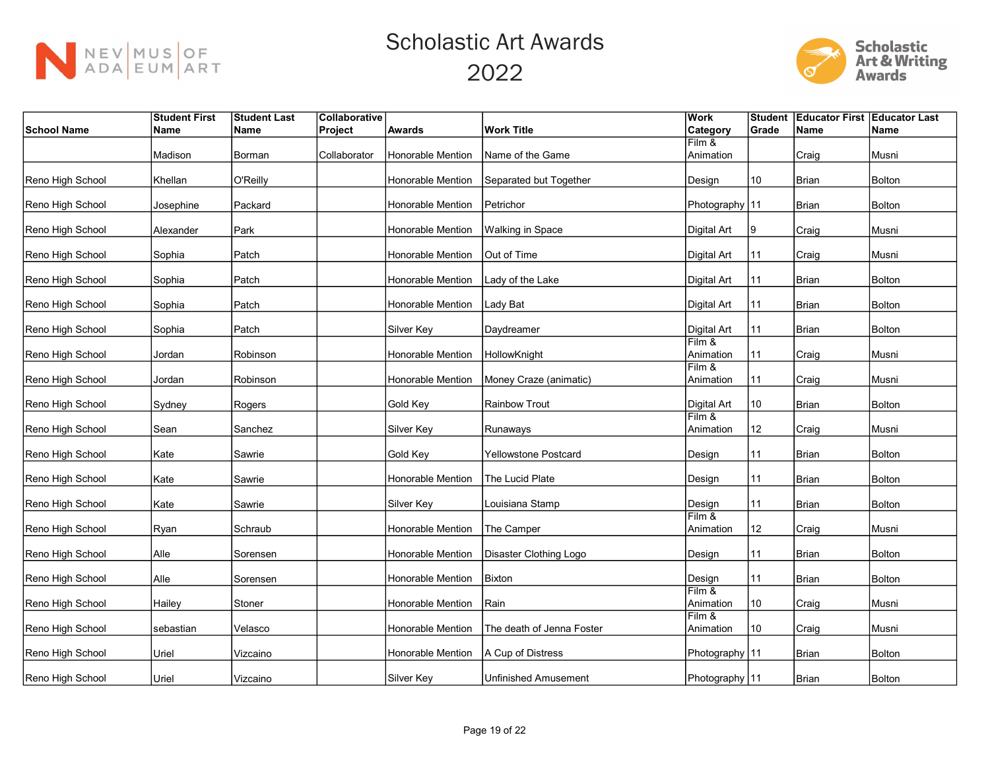



|                    | <b>Student First</b> | <b>Student Last</b> | Collaborative |                          |                             | <b>Work</b>         | Student | <b>Educator First Educator Last</b> |               |
|--------------------|----------------------|---------------------|---------------|--------------------------|-----------------------------|---------------------|---------|-------------------------------------|---------------|
| <b>School Name</b> | Name                 | Name                | Project       | <b>Awards</b>            | <b>Work Title</b>           | Category            | Grade   | <b>Name</b>                         | <b>Name</b>   |
|                    |                      |                     |               |                          |                             | Film &              |         |                                     |               |
|                    | Madison              | Borman              | Collaborator  | Honorable Mention        | Name of the Game            | Animation           |         | Craig                               | Musni         |
|                    |                      |                     |               |                          |                             |                     |         |                                     |               |
| Reno High School   | Khellan              | O'Reilly            |               | Honorable Mention        | Separated but Together      | Design              | 10      | <b>Brian</b>                        | <b>Bolton</b> |
| Reno High School   | Josephine            | Packard             |               | Honorable Mention        | Petrichor                   | Photography   11    |         | <b>Brian</b>                        | <b>Bolton</b> |
| Reno High School   | Alexander            | Park                |               | Honorable Mention        | Walking in Space            | Digital Art         | 9       | Craig                               | Musni         |
| Reno High School   | Sophia               | Patch               |               | Honorable Mention        | Out of Time                 | Digital Art         | 11      | Craig                               | Musni         |
| Reno High School   | Sophia               | Patch               |               | Honorable Mention        | Lady of the Lake            | Digital Art         | 11      | <b>Brian</b>                        | Bolton        |
| Reno High School   | Sophia               | Patch               |               | Honorable Mention        | Lady Bat                    | <b>Digital Art</b>  | 11      | <b>Brian</b>                        | <b>Bolton</b> |
| Reno High School   | Sophia               | Patch               |               | Silver Key               | Daydreamer                  | Digital Art         | 11      | <b>Brian</b>                        | Bolton        |
|                    |                      |                     |               |                          |                             | Film &              |         |                                     |               |
| Reno High School   | Jordan               | Robinson            |               | Honorable Mention        | HollowKnight                | Animation           | 11      | Craig                               | Musni         |
|                    |                      |                     |               |                          |                             | Film &              |         |                                     |               |
| Reno High School   | Jordan               | Robinson            |               | Honorable Mention        | Money Craze (animatic)      | Animation           | 11      | Craig                               | Musni         |
| Reno High School   | Sydney               | Rogers              |               | Gold Key                 | <b>Rainbow Trout</b>        | <b>Digital Art</b>  | 10      | <b>Brian</b>                        | <b>Bolton</b> |
| Reno High School   | Sean                 | Sanchez             |               | Silver Key               | Runaways                    | Film &<br>Animation | 12      | Craig                               | Musni         |
| Reno High School   | Kate                 | Sawrie              |               | Gold Key                 | <b>Yellowstone Postcard</b> | Design              | 11      | <b>Brian</b>                        | <b>Bolton</b> |
| Reno High School   | Kate                 | Sawrie              |               | Honorable Mention        | The Lucid Plate             | Design              | 11      | <b>Brian</b>                        | <b>Bolton</b> |
| Reno High School   | Kate                 | Sawrie              |               | Silver Key               | Louisiana Stamp             | Design              | 11      | <b>Brian</b>                        | <b>Bolton</b> |
| Reno High School   | Ryan                 | Schraub             |               | <b>Honorable Mention</b> | The Camper                  | Film &<br>Animation | 12      | Craig                               | Musni         |
| Reno High School   | Alle                 | Sorensen            |               | Honorable Mention        | Disaster Clothing Logo      | Design              | 11      | <b>Brian</b>                        | <b>Bolton</b> |
| Reno High School   | Alle                 | Sorensen            |               | Honorable Mention        | Bixton                      | Design              | 11      | <b>Brian</b>                        | <b>Bolton</b> |
| Reno High School   | Hailey               | Stoner              |               | Honorable Mention        | Rain                        | Film &<br>Animation | 10      | Craig                               | Musni         |
| Reno High School   | sebastian            | Velasco             |               | Honorable Mention        | The death of Jenna Foster   | Film &<br>Animation | 10      | Craig                               | Musni         |
| Reno High School   | Uriel                | Vizcaino            |               | Honorable Mention        | A Cup of Distress           | Photography   11    |         | <b>Brian</b>                        | <b>Bolton</b> |
| Reno High School   | Uriel                | Vizcaino            |               | Silver Key               | <b>Unfinished Amusement</b> | Photography   11    |         | Brian                               | <b>Bolton</b> |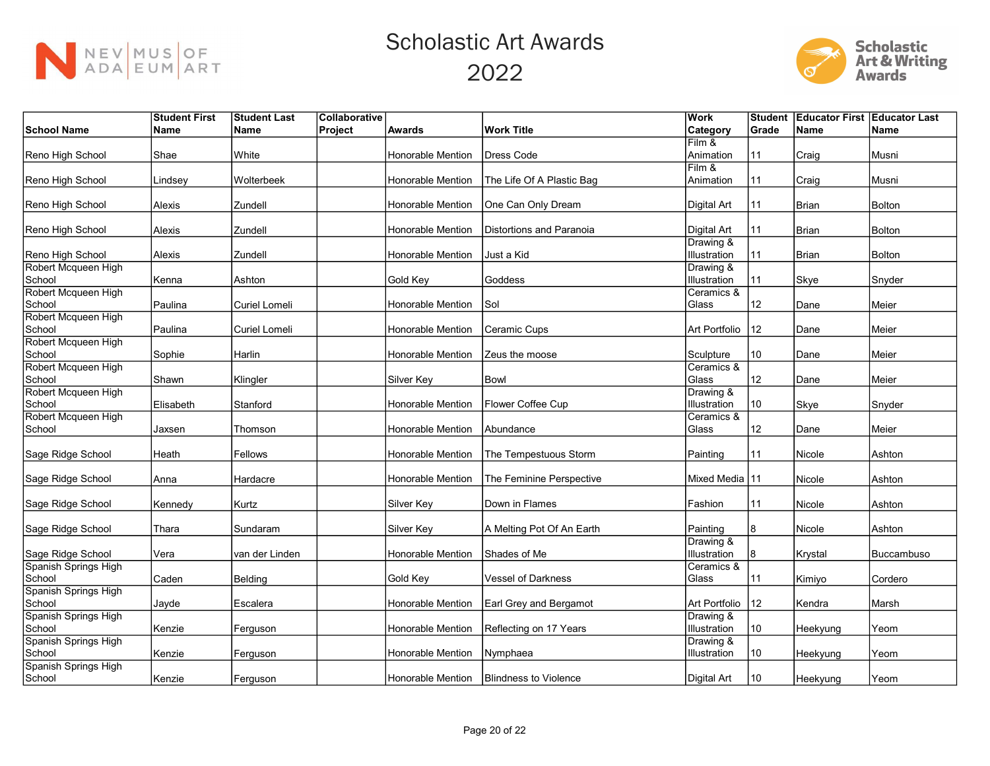



|                      | <b>Student First</b> | <b>Student Last</b> | Collaborative |                   |                                 | <b>Work</b>     | Student | <b>Educator First Educator Last</b> |                   |
|----------------------|----------------------|---------------------|---------------|-------------------|---------------------------------|-----------------|---------|-------------------------------------|-------------------|
| <b>School Name</b>   | <b>Name</b>          | <b>Name</b>         | Project       | <b>Awards</b>     | <b>Work Title</b>               | <b>Category</b> | Grade   | <b>Name</b>                         | <b>Name</b>       |
|                      |                      |                     |               |                   |                                 | Film &          |         |                                     |                   |
| Reno High School     | Shae                 | White               |               | Honorable Mention | <b>Dress Code</b>               | Animation       | 11      | Craig                               | Musni             |
|                      |                      |                     |               |                   |                                 | Film &          |         |                                     |                   |
| Reno High School     | Lindsey              | Wolterbeek          |               | Honorable Mention | The Life Of A Plastic Bag       | Animation       | 11      | Craig                               | Musni             |
|                      |                      |                     |               |                   |                                 |                 |         |                                     |                   |
| Reno High School     | Alexis               | Zundell             |               | Honorable Mention | One Can Only Dream              | Digital Art     | 11      | <b>Brian</b>                        | <b>Bolton</b>     |
|                      |                      |                     |               |                   |                                 |                 |         |                                     |                   |
| Reno High School     | Alexis               | Zundell             |               | Honorable Mention | <b>Distortions and Paranoia</b> | Digital Art     | 11      | <b>Brian</b>                        | Bolton            |
|                      |                      |                     |               |                   |                                 | Drawing &       |         |                                     |                   |
| Reno High School     | Alexis               | Zundell             |               | Honorable Mention | Just a Kid                      | Illustration    | 11      | <b>Brian</b>                        | <b>Bolton</b>     |
| Robert Mcqueen High  |                      |                     |               |                   |                                 | Drawing &       |         |                                     |                   |
| School               | Kenna                | Ashton              |               | Gold Key          | Goddess                         | Illustration    | 11      | Skye                                | Snyder            |
| Robert Mcqueen High  |                      |                     |               |                   |                                 | Ceramics &      |         |                                     |                   |
| School               | Paulina              | Curiel Lomeli       |               | Honorable Mention | Sol                             | Glass           | 12      | Dane                                | Meier             |
| Robert Mcqueen High  |                      |                     |               |                   |                                 |                 |         |                                     |                   |
| School               | Paulina              | Curiel Lomeli       |               | Honorable Mention | Ceramic Cups                    | Art Portfolio   | 12      | Dane                                | Meier             |
| Robert Mcqueen High  |                      |                     |               |                   |                                 |                 |         |                                     |                   |
| School               | Sophie               | Harlin              |               | Honorable Mention | Zeus the moose                  | Sculpture       | 10      | Dane                                | Meier             |
| Robert Mcqueen High  |                      |                     |               |                   |                                 | Ceramics &      |         |                                     |                   |
| School               | Shawn                | Klingler            |               | Silver Key        | <b>Bowl</b>                     | Glass           | 12      | Dane                                | Meier             |
| Robert Mcqueen High  |                      |                     |               |                   |                                 | Drawing &       |         |                                     |                   |
| School               | Elisabeth            | Stanford            |               | Honorable Mention | Flower Coffee Cup               | Illustration    | 10      | Skye                                | Snyder            |
| Robert Mcqueen High  |                      |                     |               |                   |                                 | Ceramics &      |         |                                     |                   |
| School               |                      |                     |               | Honorable Mention | Abundance                       | Glass           | 12      | Dane                                | Meier             |
|                      | Jaxsen               | Thomson             |               |                   |                                 |                 |         |                                     |                   |
| Sage Ridge School    | Heath                | Fellows             |               | Honorable Mention | The Tempestuous Storm           | Painting        | 11      | Nicole                              | Ashton            |
|                      |                      |                     |               |                   |                                 |                 |         |                                     |                   |
| Sage Ridge School    | Anna                 | Hardacre            |               | Honorable Mention | The Feminine Perspective        | Mixed Media 11  |         | Nicole                              | Ashton            |
|                      |                      |                     |               |                   |                                 |                 |         |                                     |                   |
| Sage Ridge School    | Kennedy              | Kurtz               |               | Silver Key        | Down in Flames                  | Fashion         | 11      | Nicole                              | Ashton            |
|                      |                      |                     |               |                   |                                 |                 |         |                                     |                   |
| Sage Ridge School    | Thara                | Sundaram            |               | Silver Key        | A Melting Pot Of An Earth       | Painting        | 8       | Nicole                              | Ashton            |
|                      |                      |                     |               |                   |                                 | Drawing &       |         |                                     |                   |
| Sage Ridge School    | Vera                 | van der Linden      |               | Honorable Mention | Shades of Me                    | Illustration    | 8       | Krystal                             | <b>Buccambuso</b> |
| Spanish Springs High |                      |                     |               |                   |                                 | Ceramics &      |         |                                     |                   |
| School               | Caden                | Belding             |               | Gold Key          | Vessel of Darkness              | Glass           | 11      | Kimiyo                              | Cordero           |
| Spanish Springs High |                      |                     |               |                   |                                 |                 |         |                                     |                   |
| School               |                      | Escalera            |               | Honorable Mention | Earl Grey and Bergamot          | Art Portfolio   | 12      | Kendra                              | Marsh             |
| Spanish Springs High | Jayde                |                     |               |                   |                                 | Drawing &       |         |                                     |                   |
|                      |                      |                     |               |                   |                                 | Illustration    |         |                                     |                   |
| School               | Kenzie               | Ferguson            |               | Honorable Mention | Reflecting on 17 Years          |                 | 10      | Heekyung                            | Yeom              |
| Spanish Springs High |                      |                     |               | Honorable Mention |                                 | Drawing &       |         |                                     |                   |
| School               | Kenzie               | Ferguson            |               |                   | Nymphaea                        | Illustration    | 10      | Heekyung                            | Yeom              |
| Spanish Springs High |                      |                     |               |                   |                                 |                 |         |                                     |                   |
| School               | Kenzie               | Ferguson            |               | Honorable Mention | <b>Blindness to Violence</b>    | Digital Art     | 10      | Heekyung                            | Yeom              |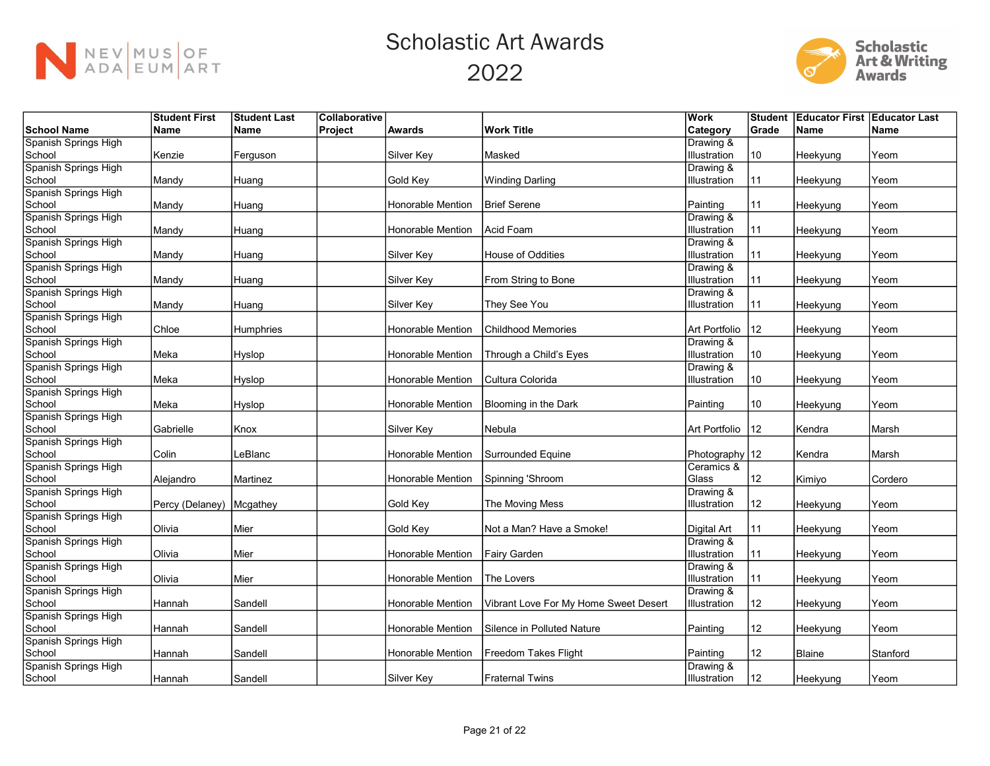



| <b>Name</b><br><b>Work Title</b><br><b>Category</b><br>Grade<br><b>Name</b><br><b>Name</b><br>Project<br><b>Awards</b><br><b>Name</b><br>Drawing &<br>Kenzie<br>Masked<br>10<br>Silver Key<br>Illustration<br>Heekyung<br>Yeom<br>Ferguson<br>Spanish Springs High<br>Drawing &<br>11<br>Mandy<br>Gold Key<br><b>Winding Darling</b><br>Illustration<br>Heekyung<br>Yeom<br>Huang<br>Honorable Mention<br><b>Brief Serene</b><br>Painting<br>11<br>Mandy<br>Heekyung<br>Yeom<br>Huang<br>Spanish Springs High<br>Drawing &<br>Acid Foam<br>Honorable Mention<br>Illustration<br>11<br>Mandy<br>Heekyung<br>Yeom<br>Huang<br>Drawing &<br>11<br>Silver Key<br>House of Oddities<br>Illustration<br>Mandy<br>Heekyung<br>Yeom<br>Huang<br>Spanish Springs High<br>Drawing &<br>Illustration<br>Silver Key<br>From String to Bone<br>11<br>Mandy<br>Heekyung<br>Yeom<br>Huang<br>Spanish Springs High<br>Drawing &<br>Silver Key<br>They See You<br>Illustration<br>11<br>Mandy<br>Huang<br>Heekyung<br>Yeom<br>Spanish Springs High<br>Art Portfolio<br>12<br>Chloe<br>Honorable Mention<br><b>Childhood Memories</b><br><b>Humphries</b><br>Yeom<br>Heekyung<br>Spanish Springs High<br>Drawing &<br>Meka<br>Illustration<br>Hyslop<br>Honorable Mention<br>Through a Child's Eyes<br>10<br>Heekyung<br>Yeom<br>Spanish Springs High<br>Drawing &<br>Meka<br>Hyslop<br>Honorable Mention<br>Cultura Colorida<br>Illustration<br>10<br>Yeom<br>Heekyung<br>Spanish Springs High<br>School<br>Meka<br>Honorable Mention<br>10<br>Hyslop<br>Blooming in the Dark<br>Painting<br>Heekyung<br>Yeom<br>Spanish Springs High<br>School<br>Silver Key<br>Nebula<br>Art Portfolio<br>12<br>Gabrielle<br>Kendra<br>Marsh<br>Knox<br>Spanish Springs High<br>Colin<br><b>Honorable Mention</b><br>Surrounded Equine<br>Photography   12<br>LeBlanc<br>Kendra<br>Marsh<br>Spanish Springs High<br>Ceramics &<br>Spinning 'Shroom<br>Glass<br>12<br>Martinez<br>Honorable Mention<br>Alejandro<br>Kimiyo<br>Cordero<br>Spanish Springs High<br>Drawing &<br><b>Gold Key</b><br>12<br>Percy (Delaney)<br>Mcgathey<br>The Moving Mess<br>Illustration<br>Heekyung<br>Yeom<br>Spanish Springs High<br>Not a Man? Have a Smoke!<br>Olivia<br>Gold Key<br>Digital Art<br>11<br>Mier<br>Yeom<br>Heekyung<br>Spanish Springs High<br>Drawing &<br>Olivia<br>Honorable Mention<br>Illustration<br>11<br>Mier<br>Fairy Garden<br>Yeom<br>Heekyung<br>Spanish Springs High<br>Drawing &<br>Olivia<br>Mier<br>Illustration<br>11<br>Honorable Mention<br>The Lovers<br>Yeom<br>Heekyung<br>Drawing &<br>Sandell<br>Honorable Mention<br>Vibrant Love For My Home Sweet Desert<br>Illustration<br>12<br>Hannah<br>Heekyung<br>Yeom<br>Spanish Springs High<br>12<br>Hannah<br>Sandell<br>Honorable Mention<br>Silence in Polluted Nature<br>Painting<br>Yeom<br>Heekyung<br>Spanish Springs High<br>12<br>Freedom Takes Flight<br>Honorable Mention<br>Painting<br>Blaine<br>Stanford<br>Hannah<br>Sandell<br>Spanish Springs High<br>Drawing & |                      | <b>Student First</b> | <b>Student Last</b> | <b>Collaborative</b> |            |                        | Work         | <b>Student</b> | <b>Educator First Educator Last</b> |      |
|-----------------------------------------------------------------------------------------------------------------------------------------------------------------------------------------------------------------------------------------------------------------------------------------------------------------------------------------------------------------------------------------------------------------------------------------------------------------------------------------------------------------------------------------------------------------------------------------------------------------------------------------------------------------------------------------------------------------------------------------------------------------------------------------------------------------------------------------------------------------------------------------------------------------------------------------------------------------------------------------------------------------------------------------------------------------------------------------------------------------------------------------------------------------------------------------------------------------------------------------------------------------------------------------------------------------------------------------------------------------------------------------------------------------------------------------------------------------------------------------------------------------------------------------------------------------------------------------------------------------------------------------------------------------------------------------------------------------------------------------------------------------------------------------------------------------------------------------------------------------------------------------------------------------------------------------------------------------------------------------------------------------------------------------------------------------------------------------------------------------------------------------------------------------------------------------------------------------------------------------------------------------------------------------------------------------------------------------------------------------------------------------------------------------------------------------------------------------------------------------------------------------------------------------------------------------------------------------------------------------------------------------------------------------------------------------------------------------------------------------------------------------------------------------------------------------------------------------------------------------------------------------------------------------------------------------------------------------------------------------------------------------------|----------------------|----------------------|---------------------|----------------------|------------|------------------------|--------------|----------------|-------------------------------------|------|
|                                                                                                                                                                                                                                                                                                                                                                                                                                                                                                                                                                                                                                                                                                                                                                                                                                                                                                                                                                                                                                                                                                                                                                                                                                                                                                                                                                                                                                                                                                                                                                                                                                                                                                                                                                                                                                                                                                                                                                                                                                                                                                                                                                                                                                                                                                                                                                                                                                                                                                                                                                                                                                                                                                                                                                                                                                                                                                                                                                                                                       | <b>School Name</b>   |                      |                     |                      |            |                        |              |                |                                     |      |
|                                                                                                                                                                                                                                                                                                                                                                                                                                                                                                                                                                                                                                                                                                                                                                                                                                                                                                                                                                                                                                                                                                                                                                                                                                                                                                                                                                                                                                                                                                                                                                                                                                                                                                                                                                                                                                                                                                                                                                                                                                                                                                                                                                                                                                                                                                                                                                                                                                                                                                                                                                                                                                                                                                                                                                                                                                                                                                                                                                                                                       | Spanish Springs High |                      |                     |                      |            |                        |              |                |                                     |      |
|                                                                                                                                                                                                                                                                                                                                                                                                                                                                                                                                                                                                                                                                                                                                                                                                                                                                                                                                                                                                                                                                                                                                                                                                                                                                                                                                                                                                                                                                                                                                                                                                                                                                                                                                                                                                                                                                                                                                                                                                                                                                                                                                                                                                                                                                                                                                                                                                                                                                                                                                                                                                                                                                                                                                                                                                                                                                                                                                                                                                                       | School               |                      |                     |                      |            |                        |              |                |                                     |      |
|                                                                                                                                                                                                                                                                                                                                                                                                                                                                                                                                                                                                                                                                                                                                                                                                                                                                                                                                                                                                                                                                                                                                                                                                                                                                                                                                                                                                                                                                                                                                                                                                                                                                                                                                                                                                                                                                                                                                                                                                                                                                                                                                                                                                                                                                                                                                                                                                                                                                                                                                                                                                                                                                                                                                                                                                                                                                                                                                                                                                                       |                      |                      |                     |                      |            |                        |              |                |                                     |      |
|                                                                                                                                                                                                                                                                                                                                                                                                                                                                                                                                                                                                                                                                                                                                                                                                                                                                                                                                                                                                                                                                                                                                                                                                                                                                                                                                                                                                                                                                                                                                                                                                                                                                                                                                                                                                                                                                                                                                                                                                                                                                                                                                                                                                                                                                                                                                                                                                                                                                                                                                                                                                                                                                                                                                                                                                                                                                                                                                                                                                                       | School               |                      |                     |                      |            |                        |              |                |                                     |      |
|                                                                                                                                                                                                                                                                                                                                                                                                                                                                                                                                                                                                                                                                                                                                                                                                                                                                                                                                                                                                                                                                                                                                                                                                                                                                                                                                                                                                                                                                                                                                                                                                                                                                                                                                                                                                                                                                                                                                                                                                                                                                                                                                                                                                                                                                                                                                                                                                                                                                                                                                                                                                                                                                                                                                                                                                                                                                                                                                                                                                                       | Spanish Springs High |                      |                     |                      |            |                        |              |                |                                     |      |
|                                                                                                                                                                                                                                                                                                                                                                                                                                                                                                                                                                                                                                                                                                                                                                                                                                                                                                                                                                                                                                                                                                                                                                                                                                                                                                                                                                                                                                                                                                                                                                                                                                                                                                                                                                                                                                                                                                                                                                                                                                                                                                                                                                                                                                                                                                                                                                                                                                                                                                                                                                                                                                                                                                                                                                                                                                                                                                                                                                                                                       | School               |                      |                     |                      |            |                        |              |                |                                     |      |
|                                                                                                                                                                                                                                                                                                                                                                                                                                                                                                                                                                                                                                                                                                                                                                                                                                                                                                                                                                                                                                                                                                                                                                                                                                                                                                                                                                                                                                                                                                                                                                                                                                                                                                                                                                                                                                                                                                                                                                                                                                                                                                                                                                                                                                                                                                                                                                                                                                                                                                                                                                                                                                                                                                                                                                                                                                                                                                                                                                                                                       |                      |                      |                     |                      |            |                        |              |                |                                     |      |
|                                                                                                                                                                                                                                                                                                                                                                                                                                                                                                                                                                                                                                                                                                                                                                                                                                                                                                                                                                                                                                                                                                                                                                                                                                                                                                                                                                                                                                                                                                                                                                                                                                                                                                                                                                                                                                                                                                                                                                                                                                                                                                                                                                                                                                                                                                                                                                                                                                                                                                                                                                                                                                                                                                                                                                                                                                                                                                                                                                                                                       | School               |                      |                     |                      |            |                        |              |                |                                     |      |
|                                                                                                                                                                                                                                                                                                                                                                                                                                                                                                                                                                                                                                                                                                                                                                                                                                                                                                                                                                                                                                                                                                                                                                                                                                                                                                                                                                                                                                                                                                                                                                                                                                                                                                                                                                                                                                                                                                                                                                                                                                                                                                                                                                                                                                                                                                                                                                                                                                                                                                                                                                                                                                                                                                                                                                                                                                                                                                                                                                                                                       | Spanish Springs High |                      |                     |                      |            |                        |              |                |                                     |      |
|                                                                                                                                                                                                                                                                                                                                                                                                                                                                                                                                                                                                                                                                                                                                                                                                                                                                                                                                                                                                                                                                                                                                                                                                                                                                                                                                                                                                                                                                                                                                                                                                                                                                                                                                                                                                                                                                                                                                                                                                                                                                                                                                                                                                                                                                                                                                                                                                                                                                                                                                                                                                                                                                                                                                                                                                                                                                                                                                                                                                                       | School               |                      |                     |                      |            |                        |              |                |                                     |      |
|                                                                                                                                                                                                                                                                                                                                                                                                                                                                                                                                                                                                                                                                                                                                                                                                                                                                                                                                                                                                                                                                                                                                                                                                                                                                                                                                                                                                                                                                                                                                                                                                                                                                                                                                                                                                                                                                                                                                                                                                                                                                                                                                                                                                                                                                                                                                                                                                                                                                                                                                                                                                                                                                                                                                                                                                                                                                                                                                                                                                                       |                      |                      |                     |                      |            |                        |              |                |                                     |      |
|                                                                                                                                                                                                                                                                                                                                                                                                                                                                                                                                                                                                                                                                                                                                                                                                                                                                                                                                                                                                                                                                                                                                                                                                                                                                                                                                                                                                                                                                                                                                                                                                                                                                                                                                                                                                                                                                                                                                                                                                                                                                                                                                                                                                                                                                                                                                                                                                                                                                                                                                                                                                                                                                                                                                                                                                                                                                                                                                                                                                                       | School               |                      |                     |                      |            |                        |              |                |                                     |      |
|                                                                                                                                                                                                                                                                                                                                                                                                                                                                                                                                                                                                                                                                                                                                                                                                                                                                                                                                                                                                                                                                                                                                                                                                                                                                                                                                                                                                                                                                                                                                                                                                                                                                                                                                                                                                                                                                                                                                                                                                                                                                                                                                                                                                                                                                                                                                                                                                                                                                                                                                                                                                                                                                                                                                                                                                                                                                                                                                                                                                                       |                      |                      |                     |                      |            |                        |              |                |                                     |      |
|                                                                                                                                                                                                                                                                                                                                                                                                                                                                                                                                                                                                                                                                                                                                                                                                                                                                                                                                                                                                                                                                                                                                                                                                                                                                                                                                                                                                                                                                                                                                                                                                                                                                                                                                                                                                                                                                                                                                                                                                                                                                                                                                                                                                                                                                                                                                                                                                                                                                                                                                                                                                                                                                                                                                                                                                                                                                                                                                                                                                                       | School               |                      |                     |                      |            |                        |              |                |                                     |      |
|                                                                                                                                                                                                                                                                                                                                                                                                                                                                                                                                                                                                                                                                                                                                                                                                                                                                                                                                                                                                                                                                                                                                                                                                                                                                                                                                                                                                                                                                                                                                                                                                                                                                                                                                                                                                                                                                                                                                                                                                                                                                                                                                                                                                                                                                                                                                                                                                                                                                                                                                                                                                                                                                                                                                                                                                                                                                                                                                                                                                                       |                      |                      |                     |                      |            |                        |              |                |                                     |      |
|                                                                                                                                                                                                                                                                                                                                                                                                                                                                                                                                                                                                                                                                                                                                                                                                                                                                                                                                                                                                                                                                                                                                                                                                                                                                                                                                                                                                                                                                                                                                                                                                                                                                                                                                                                                                                                                                                                                                                                                                                                                                                                                                                                                                                                                                                                                                                                                                                                                                                                                                                                                                                                                                                                                                                                                                                                                                                                                                                                                                                       | School               |                      |                     |                      |            |                        |              |                |                                     |      |
|                                                                                                                                                                                                                                                                                                                                                                                                                                                                                                                                                                                                                                                                                                                                                                                                                                                                                                                                                                                                                                                                                                                                                                                                                                                                                                                                                                                                                                                                                                                                                                                                                                                                                                                                                                                                                                                                                                                                                                                                                                                                                                                                                                                                                                                                                                                                                                                                                                                                                                                                                                                                                                                                                                                                                                                                                                                                                                                                                                                                                       |                      |                      |                     |                      |            |                        |              |                |                                     |      |
|                                                                                                                                                                                                                                                                                                                                                                                                                                                                                                                                                                                                                                                                                                                                                                                                                                                                                                                                                                                                                                                                                                                                                                                                                                                                                                                                                                                                                                                                                                                                                                                                                                                                                                                                                                                                                                                                                                                                                                                                                                                                                                                                                                                                                                                                                                                                                                                                                                                                                                                                                                                                                                                                                                                                                                                                                                                                                                                                                                                                                       | School               |                      |                     |                      |            |                        |              |                |                                     |      |
|                                                                                                                                                                                                                                                                                                                                                                                                                                                                                                                                                                                                                                                                                                                                                                                                                                                                                                                                                                                                                                                                                                                                                                                                                                                                                                                                                                                                                                                                                                                                                                                                                                                                                                                                                                                                                                                                                                                                                                                                                                                                                                                                                                                                                                                                                                                                                                                                                                                                                                                                                                                                                                                                                                                                                                                                                                                                                                                                                                                                                       |                      |                      |                     |                      |            |                        |              |                |                                     |      |
|                                                                                                                                                                                                                                                                                                                                                                                                                                                                                                                                                                                                                                                                                                                                                                                                                                                                                                                                                                                                                                                                                                                                                                                                                                                                                                                                                                                                                                                                                                                                                                                                                                                                                                                                                                                                                                                                                                                                                                                                                                                                                                                                                                                                                                                                                                                                                                                                                                                                                                                                                                                                                                                                                                                                                                                                                                                                                                                                                                                                                       | School               |                      |                     |                      |            |                        |              |                |                                     |      |
|                                                                                                                                                                                                                                                                                                                                                                                                                                                                                                                                                                                                                                                                                                                                                                                                                                                                                                                                                                                                                                                                                                                                                                                                                                                                                                                                                                                                                                                                                                                                                                                                                                                                                                                                                                                                                                                                                                                                                                                                                                                                                                                                                                                                                                                                                                                                                                                                                                                                                                                                                                                                                                                                                                                                                                                                                                                                                                                                                                                                                       |                      |                      |                     |                      |            |                        |              |                |                                     |      |
|                                                                                                                                                                                                                                                                                                                                                                                                                                                                                                                                                                                                                                                                                                                                                                                                                                                                                                                                                                                                                                                                                                                                                                                                                                                                                                                                                                                                                                                                                                                                                                                                                                                                                                                                                                                                                                                                                                                                                                                                                                                                                                                                                                                                                                                                                                                                                                                                                                                                                                                                                                                                                                                                                                                                                                                                                                                                                                                                                                                                                       |                      |                      |                     |                      |            |                        |              |                |                                     |      |
|                                                                                                                                                                                                                                                                                                                                                                                                                                                                                                                                                                                                                                                                                                                                                                                                                                                                                                                                                                                                                                                                                                                                                                                                                                                                                                                                                                                                                                                                                                                                                                                                                                                                                                                                                                                                                                                                                                                                                                                                                                                                                                                                                                                                                                                                                                                                                                                                                                                                                                                                                                                                                                                                                                                                                                                                                                                                                                                                                                                                                       |                      |                      |                     |                      |            |                        |              |                |                                     |      |
|                                                                                                                                                                                                                                                                                                                                                                                                                                                                                                                                                                                                                                                                                                                                                                                                                                                                                                                                                                                                                                                                                                                                                                                                                                                                                                                                                                                                                                                                                                                                                                                                                                                                                                                                                                                                                                                                                                                                                                                                                                                                                                                                                                                                                                                                                                                                                                                                                                                                                                                                                                                                                                                                                                                                                                                                                                                                                                                                                                                                                       |                      |                      |                     |                      |            |                        |              |                |                                     |      |
|                                                                                                                                                                                                                                                                                                                                                                                                                                                                                                                                                                                                                                                                                                                                                                                                                                                                                                                                                                                                                                                                                                                                                                                                                                                                                                                                                                                                                                                                                                                                                                                                                                                                                                                                                                                                                                                                                                                                                                                                                                                                                                                                                                                                                                                                                                                                                                                                                                                                                                                                                                                                                                                                                                                                                                                                                                                                                                                                                                                                                       |                      |                      |                     |                      |            |                        |              |                |                                     |      |
|                                                                                                                                                                                                                                                                                                                                                                                                                                                                                                                                                                                                                                                                                                                                                                                                                                                                                                                                                                                                                                                                                                                                                                                                                                                                                                                                                                                                                                                                                                                                                                                                                                                                                                                                                                                                                                                                                                                                                                                                                                                                                                                                                                                                                                                                                                                                                                                                                                                                                                                                                                                                                                                                                                                                                                                                                                                                                                                                                                                                                       | School               |                      |                     |                      |            |                        |              |                |                                     |      |
|                                                                                                                                                                                                                                                                                                                                                                                                                                                                                                                                                                                                                                                                                                                                                                                                                                                                                                                                                                                                                                                                                                                                                                                                                                                                                                                                                                                                                                                                                                                                                                                                                                                                                                                                                                                                                                                                                                                                                                                                                                                                                                                                                                                                                                                                                                                                                                                                                                                                                                                                                                                                                                                                                                                                                                                                                                                                                                                                                                                                                       |                      |                      |                     |                      |            |                        |              |                |                                     |      |
|                                                                                                                                                                                                                                                                                                                                                                                                                                                                                                                                                                                                                                                                                                                                                                                                                                                                                                                                                                                                                                                                                                                                                                                                                                                                                                                                                                                                                                                                                                                                                                                                                                                                                                                                                                                                                                                                                                                                                                                                                                                                                                                                                                                                                                                                                                                                                                                                                                                                                                                                                                                                                                                                                                                                                                                                                                                                                                                                                                                                                       | School               |                      |                     |                      |            |                        |              |                |                                     |      |
|                                                                                                                                                                                                                                                                                                                                                                                                                                                                                                                                                                                                                                                                                                                                                                                                                                                                                                                                                                                                                                                                                                                                                                                                                                                                                                                                                                                                                                                                                                                                                                                                                                                                                                                                                                                                                                                                                                                                                                                                                                                                                                                                                                                                                                                                                                                                                                                                                                                                                                                                                                                                                                                                                                                                                                                                                                                                                                                                                                                                                       |                      |                      |                     |                      |            |                        |              |                |                                     |      |
|                                                                                                                                                                                                                                                                                                                                                                                                                                                                                                                                                                                                                                                                                                                                                                                                                                                                                                                                                                                                                                                                                                                                                                                                                                                                                                                                                                                                                                                                                                                                                                                                                                                                                                                                                                                                                                                                                                                                                                                                                                                                                                                                                                                                                                                                                                                                                                                                                                                                                                                                                                                                                                                                                                                                                                                                                                                                                                                                                                                                                       | School               |                      |                     |                      |            |                        |              |                |                                     |      |
|                                                                                                                                                                                                                                                                                                                                                                                                                                                                                                                                                                                                                                                                                                                                                                                                                                                                                                                                                                                                                                                                                                                                                                                                                                                                                                                                                                                                                                                                                                                                                                                                                                                                                                                                                                                                                                                                                                                                                                                                                                                                                                                                                                                                                                                                                                                                                                                                                                                                                                                                                                                                                                                                                                                                                                                                                                                                                                                                                                                                                       |                      |                      |                     |                      |            |                        |              |                |                                     |      |
|                                                                                                                                                                                                                                                                                                                                                                                                                                                                                                                                                                                                                                                                                                                                                                                                                                                                                                                                                                                                                                                                                                                                                                                                                                                                                                                                                                                                                                                                                                                                                                                                                                                                                                                                                                                                                                                                                                                                                                                                                                                                                                                                                                                                                                                                                                                                                                                                                                                                                                                                                                                                                                                                                                                                                                                                                                                                                                                                                                                                                       | School               |                      |                     |                      |            |                        |              |                |                                     |      |
|                                                                                                                                                                                                                                                                                                                                                                                                                                                                                                                                                                                                                                                                                                                                                                                                                                                                                                                                                                                                                                                                                                                                                                                                                                                                                                                                                                                                                                                                                                                                                                                                                                                                                                                                                                                                                                                                                                                                                                                                                                                                                                                                                                                                                                                                                                                                                                                                                                                                                                                                                                                                                                                                                                                                                                                                                                                                                                                                                                                                                       |                      |                      |                     |                      |            |                        |              |                |                                     |      |
|                                                                                                                                                                                                                                                                                                                                                                                                                                                                                                                                                                                                                                                                                                                                                                                                                                                                                                                                                                                                                                                                                                                                                                                                                                                                                                                                                                                                                                                                                                                                                                                                                                                                                                                                                                                                                                                                                                                                                                                                                                                                                                                                                                                                                                                                                                                                                                                                                                                                                                                                                                                                                                                                                                                                                                                                                                                                                                                                                                                                                       | School               |                      |                     |                      |            |                        |              |                |                                     |      |
|                                                                                                                                                                                                                                                                                                                                                                                                                                                                                                                                                                                                                                                                                                                                                                                                                                                                                                                                                                                                                                                                                                                                                                                                                                                                                                                                                                                                                                                                                                                                                                                                                                                                                                                                                                                                                                                                                                                                                                                                                                                                                                                                                                                                                                                                                                                                                                                                                                                                                                                                                                                                                                                                                                                                                                                                                                                                                                                                                                                                                       |                      |                      |                     |                      |            |                        |              |                |                                     |      |
|                                                                                                                                                                                                                                                                                                                                                                                                                                                                                                                                                                                                                                                                                                                                                                                                                                                                                                                                                                                                                                                                                                                                                                                                                                                                                                                                                                                                                                                                                                                                                                                                                                                                                                                                                                                                                                                                                                                                                                                                                                                                                                                                                                                                                                                                                                                                                                                                                                                                                                                                                                                                                                                                                                                                                                                                                                                                                                                                                                                                                       | School               |                      |                     |                      |            |                        |              |                |                                     |      |
|                                                                                                                                                                                                                                                                                                                                                                                                                                                                                                                                                                                                                                                                                                                                                                                                                                                                                                                                                                                                                                                                                                                                                                                                                                                                                                                                                                                                                                                                                                                                                                                                                                                                                                                                                                                                                                                                                                                                                                                                                                                                                                                                                                                                                                                                                                                                                                                                                                                                                                                                                                                                                                                                                                                                                                                                                                                                                                                                                                                                                       | Spanish Springs High |                      |                     |                      |            |                        |              |                |                                     |      |
|                                                                                                                                                                                                                                                                                                                                                                                                                                                                                                                                                                                                                                                                                                                                                                                                                                                                                                                                                                                                                                                                                                                                                                                                                                                                                                                                                                                                                                                                                                                                                                                                                                                                                                                                                                                                                                                                                                                                                                                                                                                                                                                                                                                                                                                                                                                                                                                                                                                                                                                                                                                                                                                                                                                                                                                                                                                                                                                                                                                                                       | School               |                      |                     |                      |            |                        |              |                |                                     |      |
|                                                                                                                                                                                                                                                                                                                                                                                                                                                                                                                                                                                                                                                                                                                                                                                                                                                                                                                                                                                                                                                                                                                                                                                                                                                                                                                                                                                                                                                                                                                                                                                                                                                                                                                                                                                                                                                                                                                                                                                                                                                                                                                                                                                                                                                                                                                                                                                                                                                                                                                                                                                                                                                                                                                                                                                                                                                                                                                                                                                                                       |                      |                      |                     |                      |            |                        |              |                |                                     |      |
|                                                                                                                                                                                                                                                                                                                                                                                                                                                                                                                                                                                                                                                                                                                                                                                                                                                                                                                                                                                                                                                                                                                                                                                                                                                                                                                                                                                                                                                                                                                                                                                                                                                                                                                                                                                                                                                                                                                                                                                                                                                                                                                                                                                                                                                                                                                                                                                                                                                                                                                                                                                                                                                                                                                                                                                                                                                                                                                                                                                                                       | School               |                      |                     |                      |            |                        |              |                |                                     |      |
|                                                                                                                                                                                                                                                                                                                                                                                                                                                                                                                                                                                                                                                                                                                                                                                                                                                                                                                                                                                                                                                                                                                                                                                                                                                                                                                                                                                                                                                                                                                                                                                                                                                                                                                                                                                                                                                                                                                                                                                                                                                                                                                                                                                                                                                                                                                                                                                                                                                                                                                                                                                                                                                                                                                                                                                                                                                                                                                                                                                                                       |                      |                      |                     |                      |            |                        |              |                |                                     |      |
|                                                                                                                                                                                                                                                                                                                                                                                                                                                                                                                                                                                                                                                                                                                                                                                                                                                                                                                                                                                                                                                                                                                                                                                                                                                                                                                                                                                                                                                                                                                                                                                                                                                                                                                                                                                                                                                                                                                                                                                                                                                                                                                                                                                                                                                                                                                                                                                                                                                                                                                                                                                                                                                                                                                                                                                                                                                                                                                                                                                                                       | School               |                      |                     |                      |            |                        |              |                |                                     |      |
|                                                                                                                                                                                                                                                                                                                                                                                                                                                                                                                                                                                                                                                                                                                                                                                                                                                                                                                                                                                                                                                                                                                                                                                                                                                                                                                                                                                                                                                                                                                                                                                                                                                                                                                                                                                                                                                                                                                                                                                                                                                                                                                                                                                                                                                                                                                                                                                                                                                                                                                                                                                                                                                                                                                                                                                                                                                                                                                                                                                                                       |                      |                      |                     |                      |            |                        |              |                |                                     |      |
|                                                                                                                                                                                                                                                                                                                                                                                                                                                                                                                                                                                                                                                                                                                                                                                                                                                                                                                                                                                                                                                                                                                                                                                                                                                                                                                                                                                                                                                                                                                                                                                                                                                                                                                                                                                                                                                                                                                                                                                                                                                                                                                                                                                                                                                                                                                                                                                                                                                                                                                                                                                                                                                                                                                                                                                                                                                                                                                                                                                                                       | School               | Hannah               | Sandell             |                      | Silver Kev | <b>Fraternal Twins</b> | Illustration | 12             | Heekyung                            | Yeom |